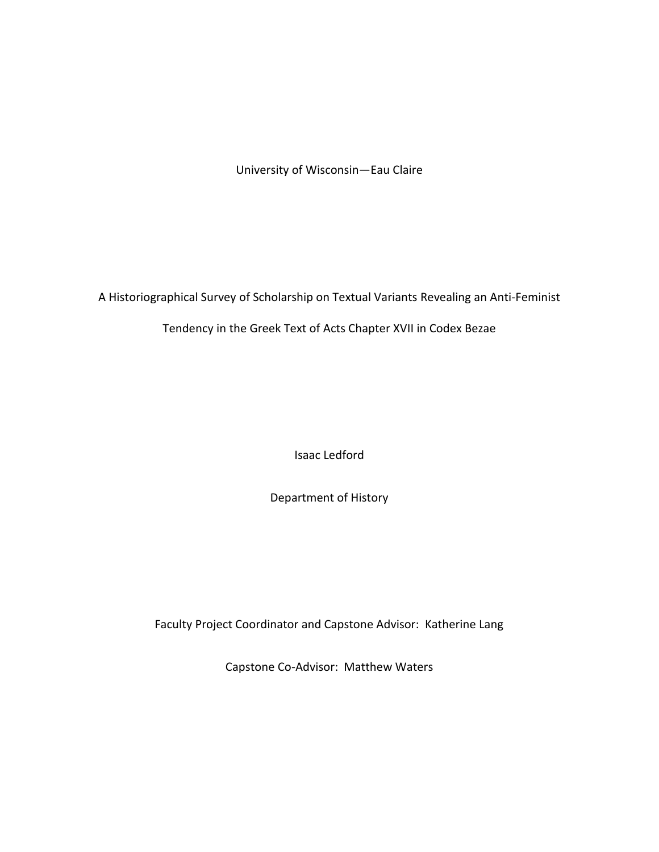University of Wisconsin—Eau Claire

A Historiographical Survey of Scholarship on Textual Variants Revealing an Anti-Feminist

Tendency in the Greek Text of Acts Chapter XVII in Codex Bezae

Isaac Ledford

Department of History

Faculty Project Coordinator and Capstone Advisor: Katherine Lang

Capstone Co-Advisor: Matthew Waters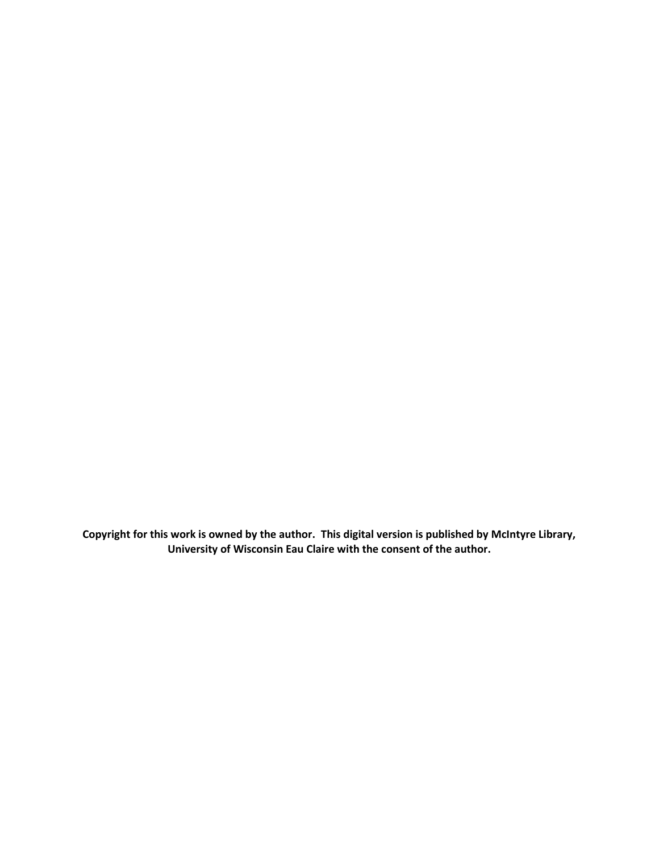**Copyright for this work is owned by the author. This digital version is published by McIntyre Library, University of Wisconsin Eau Claire with the consent of the author.**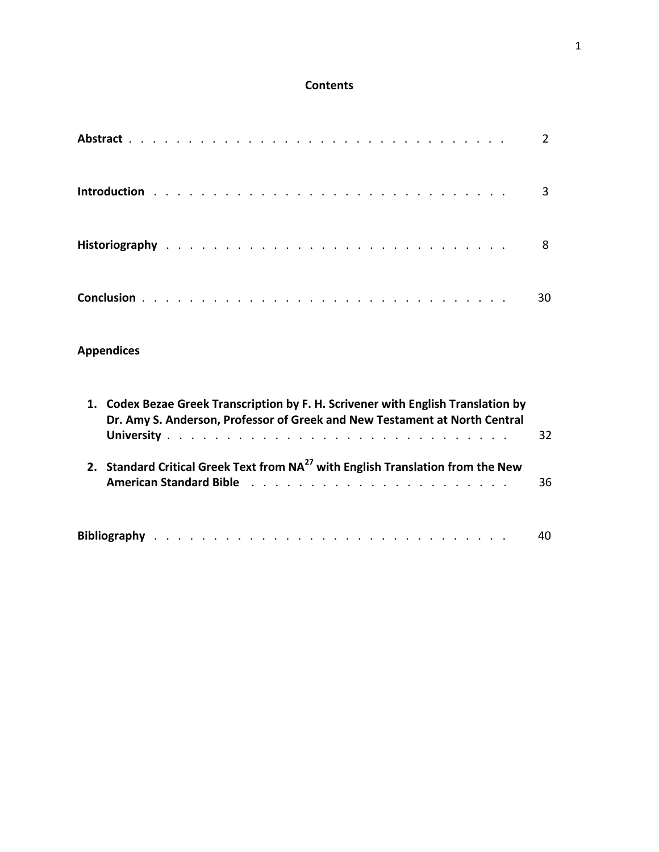## **Contents**

|  |  |  |  |  |  |  |  |  |  |  |  |  |  |  | $\overline{3}$ |
|--|--|--|--|--|--|--|--|--|--|--|--|--|--|--|----------------|
|  |  |  |  |  |  |  |  |  |  |  |  |  |  |  | 8              |
|  |  |  |  |  |  |  |  |  |  |  |  |  |  |  | 30             |

# **Appendices**

| 1. Codex Bezae Greek Transcription by F. H. Scrivener with English Translation by<br>Dr. Amy S. Anderson, Professor of Greek and New Testament at North Central                                                                                                                                                                   |    |  |  |  |  |  |  |  |  |  |  |
|-----------------------------------------------------------------------------------------------------------------------------------------------------------------------------------------------------------------------------------------------------------------------------------------------------------------------------------|----|--|--|--|--|--|--|--|--|--|--|
| 2. Standard Critical Greek Text from NA <sup>27</sup> with English Translation from the New<br><b>American Standard Bible</b> documentation of the state of the state of the state of the state of the state of the state of the state of the state of the state of the state of the state of the state of the state of the state | 36 |  |  |  |  |  |  |  |  |  |  |
|                                                                                                                                                                                                                                                                                                                                   | 40 |  |  |  |  |  |  |  |  |  |  |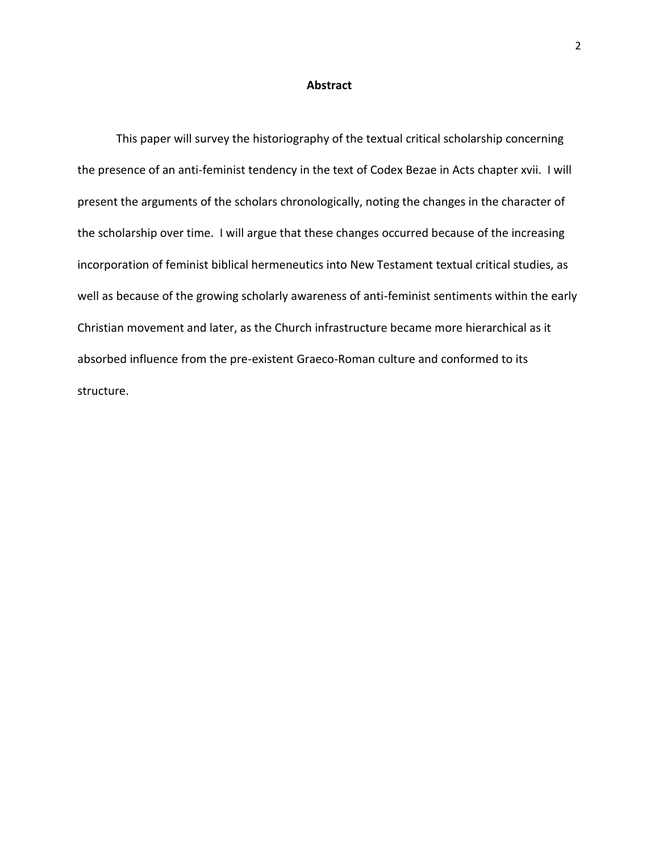#### **Abstract**

This paper will survey the historiography of the textual critical scholarship concerning the presence of an anti-feminist tendency in the text of Codex Bezae in Acts chapter xvii. I will present the arguments of the scholars chronologically, noting the changes in the character of the scholarship over time. I will argue that these changes occurred because of the increasing incorporation of feminist biblical hermeneutics into New Testament textual critical studies, as well as because of the growing scholarly awareness of anti-feminist sentiments within the early Christian movement and later, as the Church infrastructure became more hierarchical as it absorbed influence from the pre-existent Graeco-Roman culture and conformed to its structure.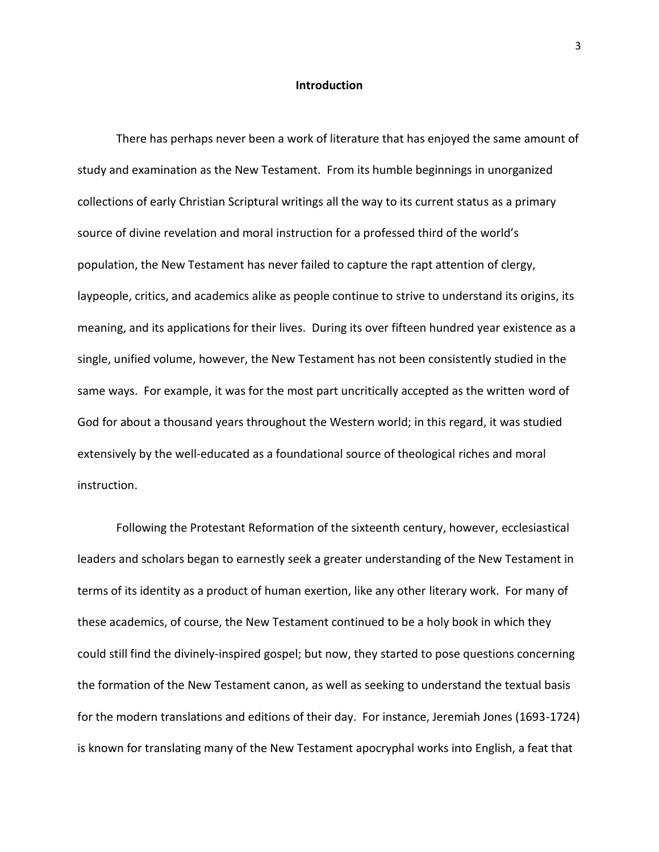#### **Introduction**

There has perhaps never been a work of literature that has enjoyed the same amount of study and examination as the New Testament. From its humble beginnings in unorganized collections of early Christian Scriptural writings all the way to its current status as a primary source of divine revelation and moral instruction for a professed third of the world's population, the New Testament has never failed to capture the rapt attention of clergy, laypeople, critics, and academics alike as people continue to strive to understand its origins, its meaning, and its applications for their lives. During its over fifteen hundred year existence as a single, unified volume, however, the New Testament has not been consistently studied in the same ways. For example, it was for the most part uncritically accepted as the written word of God for about a thousand years throughout the Western world; in this regard, it was studied extensively by the well-educated as a foundational source of theological riches and moral instruction.

Following the Protestant Reformation of the sixteenth century, however, ecclesiastical leaders and scholars began to earnestly seek a greater understanding of the New Testament in terms of its identity as a product of human exertion, like any other literary work. For many of these academics, of course, the New Testament continued to be a holy book in which they could still find the divinely-inspired gospel; but now, they started to pose questions concerning the formation of the New Testament canon, as well as seeking to understand the textual basis for the modern translations and editions of their day. For instance, Jeremiah Jones (1693-1724) is known for translating many of the New Testament apocryphal works into English, a feat that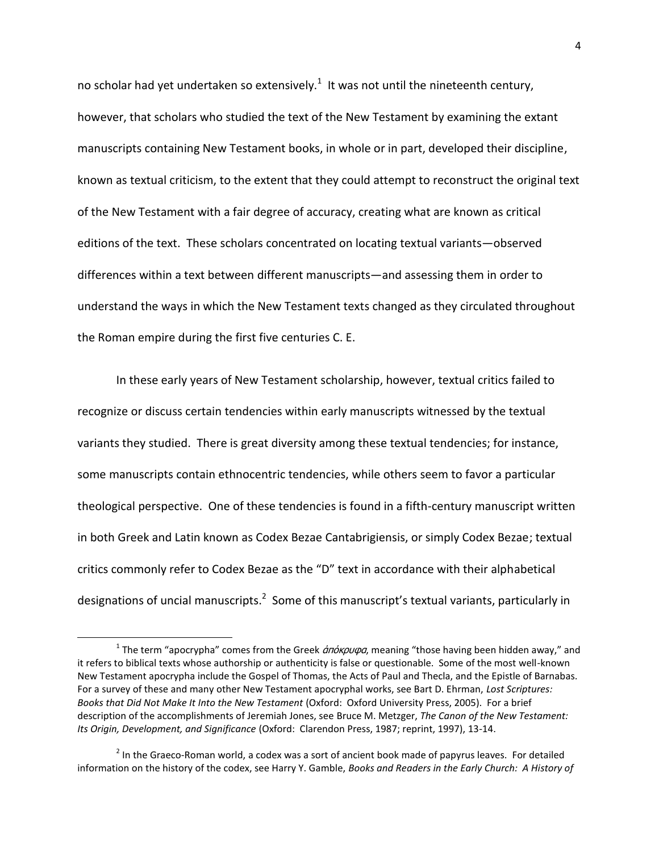no scholar had yet undertaken so extensively.<sup>1</sup> It was not until the nineteenth century, however, that scholars who studied the text of the New Testament by examining the extant manuscripts containing New Testament books, in whole or in part, developed their discipline, known as textual criticism, to the extent that they could attempt to reconstruct the original text of the New Testament with a fair degree of accuracy, creating what are known as critical editions of the text. These scholars concentrated on locating textual variants—observed differences within a text between different manuscripts—and assessing them in order to understand the ways in which the New Testament texts changed as they circulated throughout the Roman empire during the first five centuries C. E.

In these early years of New Testament scholarship, however, textual critics failed to recognize or discuss certain tendencies within early manuscripts witnessed by the textual variants they studied. There is great diversity among these textual tendencies; for instance, some manuscripts contain ethnocentric tendencies, while others seem to favor a particular theological perspective. One of these tendencies is found in a fifth-century manuscript written in both Greek and Latin known as Codex Bezae Cantabrigiensis, or simply Codex Bezae; textual critics commonly refer to Codex Bezae as the "D" text in accordance with their alphabetical designations of uncial manuscripts.<sup>2</sup> Some of this manuscript's textual variants, particularly in

<sup>&</sup>lt;sup>1</sup> The term "apocrypha" comes from the Greek *ἁπόκρυφα*, meaning "those having been hidden away," and it refers to biblical texts whose authorship or authenticity is false or questionable. Some of the most well-known New Testament apocrypha include the Gospel of Thomas, the Acts of Paul and Thecla, and the Epistle of Barnabas. For a survey of these and many other New Testament apocryphal works, see Bart D. Ehrman, *Lost Scriptures: Books that Did Not Make It Into the New Testament* (Oxford: Oxford University Press, 2005). For a brief description of the accomplishments of Jeremiah Jones, see Bruce M. Metzger, *The Canon of the New Testament: Its Origin, Development, and Significance* (Oxford: Clarendon Press, 1987; reprint, 1997), 13-14.

 $2$  In the Graeco-Roman world, a codex was a sort of ancient book made of papyrus leaves. For detailed information on the history of the codex, see Harry Y. Gamble, *Books and Readers in the Early Church: A History of*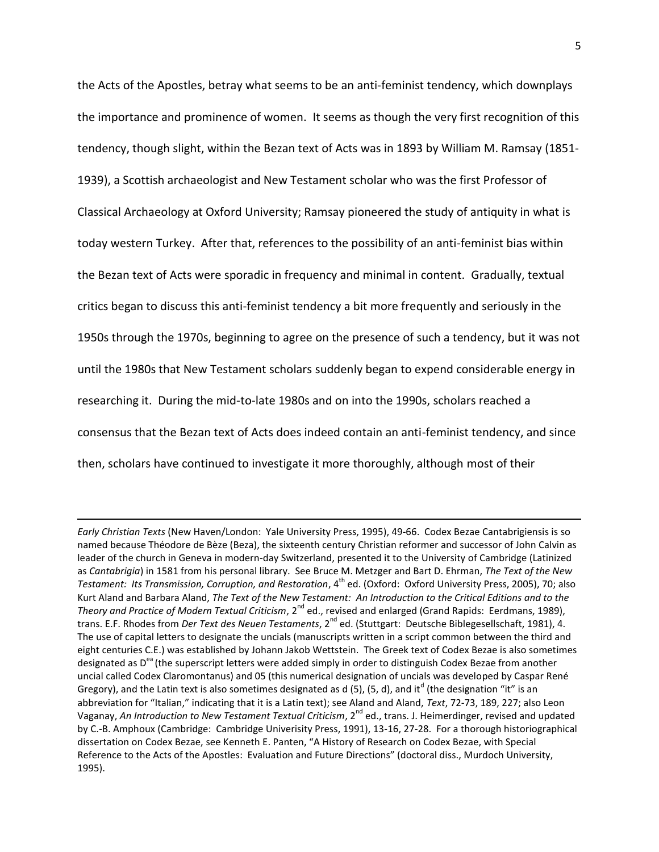the Acts of the Apostles, betray what seems to be an anti-feminist tendency, which downplays the importance and prominence of women. It seems as though the very first recognition of this tendency, though slight, within the Bezan text of Acts was in 1893 by William M. Ramsay (1851- 1939), a Scottish archaeologist and New Testament scholar who was the first Professor of Classical Archaeology at Oxford University; Ramsay pioneered the study of antiquity in what is today western Turkey. After that, references to the possibility of an anti-feminist bias within the Bezan text of Acts were sporadic in frequency and minimal in content. Gradually, textual critics began to discuss this anti-feminist tendency a bit more frequently and seriously in the 1950s through the 1970s, beginning to agree on the presence of such a tendency, but it was not until the 1980s that New Testament scholars suddenly began to expend considerable energy in researching it. During the mid-to-late 1980s and on into the 1990s, scholars reached a consensus that the Bezan text of Acts does indeed contain an anti-feminist tendency, and since then, scholars have continued to investigate it more thoroughly, although most of their

*Early Christian Texts* (New Haven/London: Yale University Press, 1995), 49-66. Codex Bezae Cantabrigiensis is so named because Théodore de Bèze (Beza), the sixteenth century Christian reformer and successor of John Calvin as leader of the church in Geneva in modern-day Switzerland, presented it to the University of Cambridge (Latinized as *Cantabrigia*) in 1581 from his personal library. See Bruce M. Metzger and Bart D. Ehrman, *The Text of the New Testament: Its Transmission, Corruption, and Restoration, 4<sup>th</sup> ed. (Oxford: Oxford University Press, 2005), 70; also* Kurt Aland and Barbara Aland, *The Text of the New Testament: An Introduction to the Critical Editions and to the Theory and Practice of Modern Textual Criticism*, 2<sup>nd</sup> ed., revised and enlarged (Grand Rapids: Eerdmans, 1989), trans. E.F. Rhodes from *Der Text des Neuen Testaments*, 2<sup>nd</sup> ed. (Stuttgart: Deutsche Biblegesellschaft, 1981), 4. The use of capital letters to designate the uncials (manuscripts written in a script common between the third and eight centuries C.E.) was established by Johann Jakob Wettstein. The Greek text of Codex Bezae is also sometimes designated as Dea (the superscript letters were added simply in order to distinguish Codex Bezae from another uncial called Codex Claromontanus) and 05 (this numerical designation of uncials was developed by Caspar René Gregory), and the Latin text is also sometimes designated as d (5), (5, d), and it<sup>d</sup> (the designation "it" is an abbreviation for "Italian," indicating that it is a Latin text); see Aland and Aland, *Text*, 72-73, 189, 227; also Leon Vaganay, An Introduction to New Testament Textual Criticism, 2<sup>nd</sup> ed., trans. J. Heimerdinger, revised and updated by C.-B. Amphoux (Cambridge: Cambridge Univerisity Press, 1991), 13-16, 27-28. For a thorough historiographical dissertation on Codex Bezae, see Kenneth E. Panten, "A History of Research on Codex Bezae, with Special Reference to the Acts of the Apostles: Evaluation and Future Directions" (doctoral diss., Murdoch University, 1995).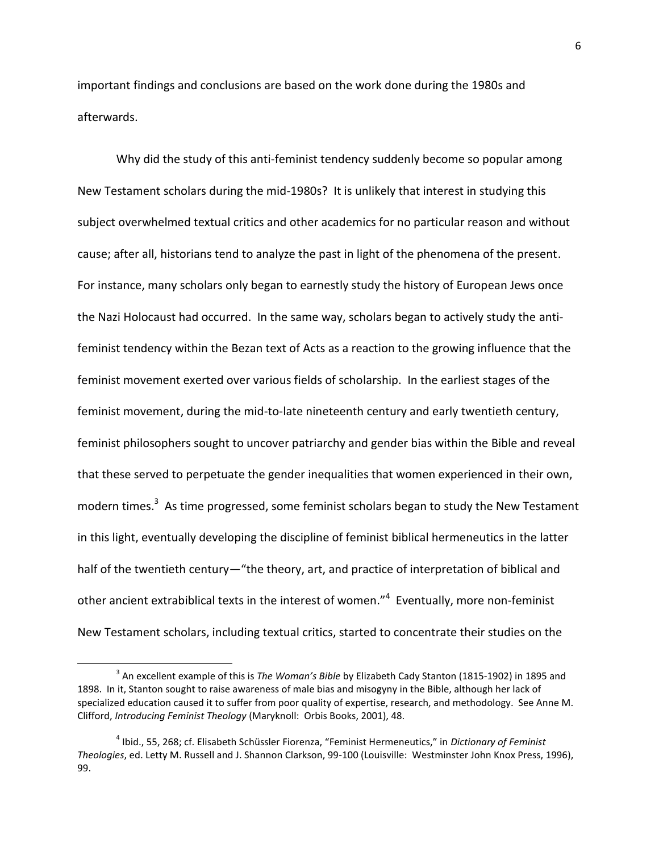important findings and conclusions are based on the work done during the 1980s and afterwards.

Why did the study of this anti-feminist tendency suddenly become so popular among New Testament scholars during the mid-1980s? It is unlikely that interest in studying this subject overwhelmed textual critics and other academics for no particular reason and without cause; after all, historians tend to analyze the past in light of the phenomena of the present. For instance, many scholars only began to earnestly study the history of European Jews once the Nazi Holocaust had occurred. In the same way, scholars began to actively study the antifeminist tendency within the Bezan text of Acts as a reaction to the growing influence that the feminist movement exerted over various fields of scholarship. In the earliest stages of the feminist movement, during the mid-to-late nineteenth century and early twentieth century, feminist philosophers sought to uncover patriarchy and gender bias within the Bible and reveal that these served to perpetuate the gender inequalities that women experienced in their own, modern times.<sup>3</sup> As time progressed, some feminist scholars began to study the New Testament in this light, eventually developing the discipline of feminist biblical hermeneutics in the latter half of the twentieth century—"the theory, art, and practice of interpretation of biblical and other ancient extrabiblical texts in the interest of women."<sup>4</sup> Eventually, more non-feminist New Testament scholars, including textual critics, started to concentrate their studies on the

<sup>3</sup> An excellent example of this is *The Woman's Bible* by Elizabeth Cady Stanton (1815-1902) in 1895 and 1898. In it, Stanton sought to raise awareness of male bias and misogyny in the Bible, although her lack of specialized education caused it to suffer from poor quality of expertise, research, and methodology. See Anne M. Clifford, *Introducing Feminist Theology* (Maryknoll: Orbis Books, 2001), 48.

<sup>4</sup> Ibid., 55, 268; cf. Elisabeth Schüssler Fiorenza, "Feminist Hermeneutics," in *Dictionary of Feminist Theologies*, ed. Letty M. Russell and J. Shannon Clarkson, 99-100 (Louisville: Westminster John Knox Press, 1996), 99.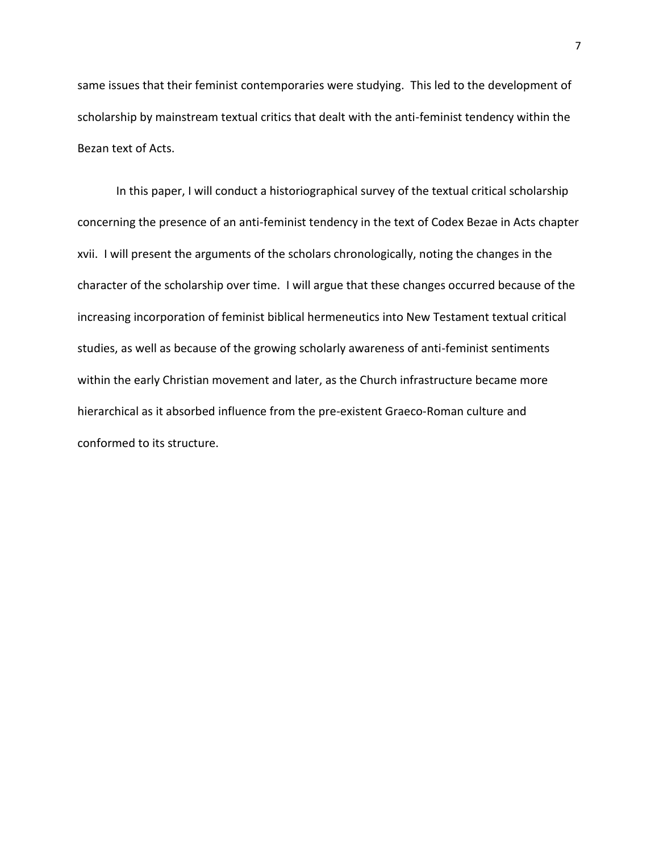same issues that their feminist contemporaries were studying. This led to the development of scholarship by mainstream textual critics that dealt with the anti-feminist tendency within the Bezan text of Acts.

In this paper, I will conduct a historiographical survey of the textual critical scholarship concerning the presence of an anti-feminist tendency in the text of Codex Bezae in Acts chapter xvii. I will present the arguments of the scholars chronologically, noting the changes in the character of the scholarship over time. I will argue that these changes occurred because of the increasing incorporation of feminist biblical hermeneutics into New Testament textual critical studies, as well as because of the growing scholarly awareness of anti-feminist sentiments within the early Christian movement and later, as the Church infrastructure became more hierarchical as it absorbed influence from the pre-existent Graeco-Roman culture and conformed to its structure.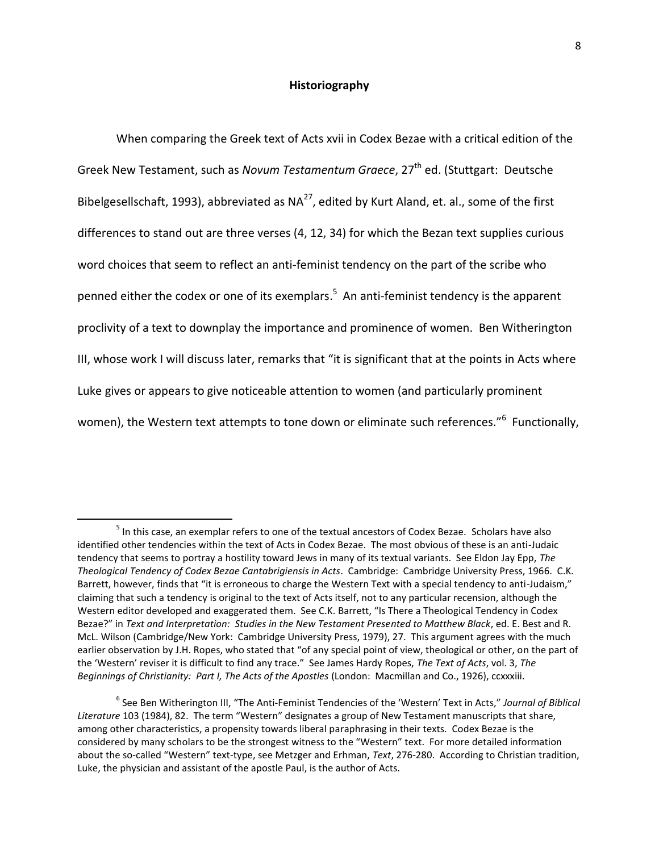#### **Historiography**

When comparing the Greek text of Acts xvii in Codex Bezae with a critical edition of the Greek New Testament, such as *Novum Testamentum Graece*, 27<sup>th</sup> ed. (Stuttgart: Deutsche Bibelgesellschaft, 1993), abbreviated as  $NA^{27}$ , edited by Kurt Aland, et. al., some of the first differences to stand out are three verses (4, 12, 34) for which the Bezan text supplies curious word choices that seem to reflect an anti-feminist tendency on the part of the scribe who penned either the codex or one of its exemplars.<sup>5</sup> An anti-feminist tendency is the apparent proclivity of a text to downplay the importance and prominence of women. Ben Witherington III, whose work I will discuss later, remarks that "it is significant that at the points in Acts where Luke gives or appears to give noticeable attention to women (and particularly prominent women), the Western text attempts to tone down or eliminate such references."<sup>6</sup> Functionally,

 $<sup>5</sup>$  In this case, an exemplar refers to one of the textual ancestors of Codex Bezae. Scholars have also</sup> identified other tendencies within the text of Acts in Codex Bezae. The most obvious of these is an anti-Judaic tendency that seems to portray a hostility toward Jews in many of its textual variants. See Eldon Jay Epp, *The Theological Tendency of Codex Bezae Cantabrigiensis in Acts*. Cambridge: Cambridge University Press, 1966. C.K. Barrett, however, finds that "it is erroneous to charge the Western Text with a special tendency to anti-Judaism," claiming that such a tendency is original to the text of Acts itself, not to any particular recension, although the Western editor developed and exaggerated them. See C.K. Barrett, "Is There a Theological Tendency in Codex Bezae?" in *Text and Interpretation: Studies in the New Testament Presented to Matthew Black*, ed. E. Best and R. McL. Wilson (Cambridge/New York: Cambridge University Press, 1979), 27. This argument agrees with the much earlier observation by J.H. Ropes, who stated that "of any special point of view, theological or other, on the part of the 'Western' reviser it is difficult to find any trace." See James Hardy Ropes, *The Text of Acts*, vol. 3, *The Beginnings of Christianity: Part I, The Acts of the Apostles* (London: Macmillan and Co., 1926), ccxxxiii.

<sup>6</sup> See Ben Witherington III, "The Anti-Feminist Tendencies of the 'Western' Text in Acts," *Journal of Biblical Literature* 103 (1984), 82. The term "Western" designates a group of New Testament manuscripts that share, among other characteristics, a propensity towards liberal paraphrasing in their texts. Codex Bezae is the considered by many scholars to be the strongest witness to the "Western" text. For more detailed information about the so-called "Western" text-type, see Metzger and Erhman, *Text*, 276-280. According to Christian tradition, Luke, the physician and assistant of the apostle Paul, is the author of Acts.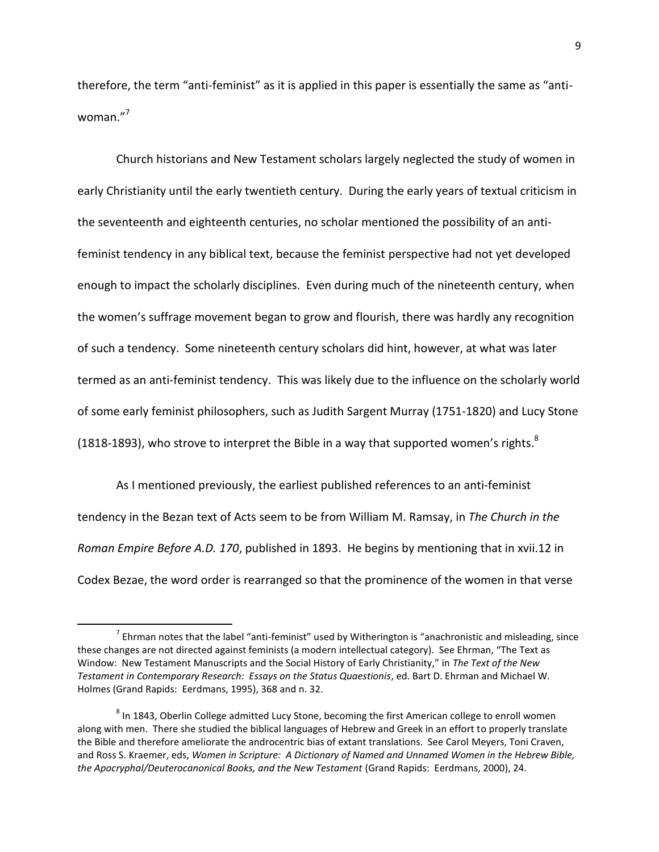therefore, the term "anti-feminist" as it is applied in this paper is essentially the same as "antiwoman."<sup>7</sup>

Church historians and New Testament scholars largely neglected the study of women in early Christianity until the early twentieth century. During the early years of textual criticism in the seventeenth and eighteenth centuries, no scholar mentioned the possibility of an antifeminist tendency in any biblical text, because the feminist perspective had not yet developed enough to impact the scholarly disciplines. Even during much of the nineteenth century, when the women's suffrage movement began to grow and flourish, there was hardly any recognition of such a tendency. Some nineteenth century scholars did hint, however, at what was later termed as an anti-feminist tendency. This was likely due to the influence on the scholarly world of some early feminist philosophers, such as Judith Sargent Murray (1751-1820) and Lucy Stone (1818-1893), who strove to interpret the Bible in a way that supported women's rights. $8$ 

As I mentioned previously, the earliest published references to an anti-feminist tendency in the Bezan text of Acts seem to be from William M. Ramsay, in *The Church in the Roman Empire Before A.D. 170*, published in 1893. He begins by mentioning that in xvii.12 in Codex Bezae, the word order is rearranged so that the prominence of the women in that verse

 $^7$  Ehrman notes that the label "anti-feminist" used by Witherington is "anachronistic and misleading, since these changes are not directed against feminists (a modern intellectual category). See Ehrman, "The Text as Window: New Testament Manuscripts and the Social History of Early Christianity," in *The Text of the New Testament in Contemporary Research: Essays on the Status Quaestionis*, ed. Bart D. Ehrman and Michael W. Holmes (Grand Rapids: Eerdmans, 1995), 368 and n. 32.

 $^8$  In 1843, Oberlin College admitted Lucy Stone, becoming the first American college to enroll women along with men. There she studied the biblical languages of Hebrew and Greek in an effort to properly translate the Bible and therefore ameliorate the androcentric bias of extant translations. See Carol Meyers, Toni Craven, and Ross S. Kraemer, eds, *Women in Scripture: A Dictionary of Named and Unnamed Women in the Hebrew Bible, the Apocryphal/Deuterocanonical Books, and the New Testament* (Grand Rapids: Eerdmans, 2000), 24.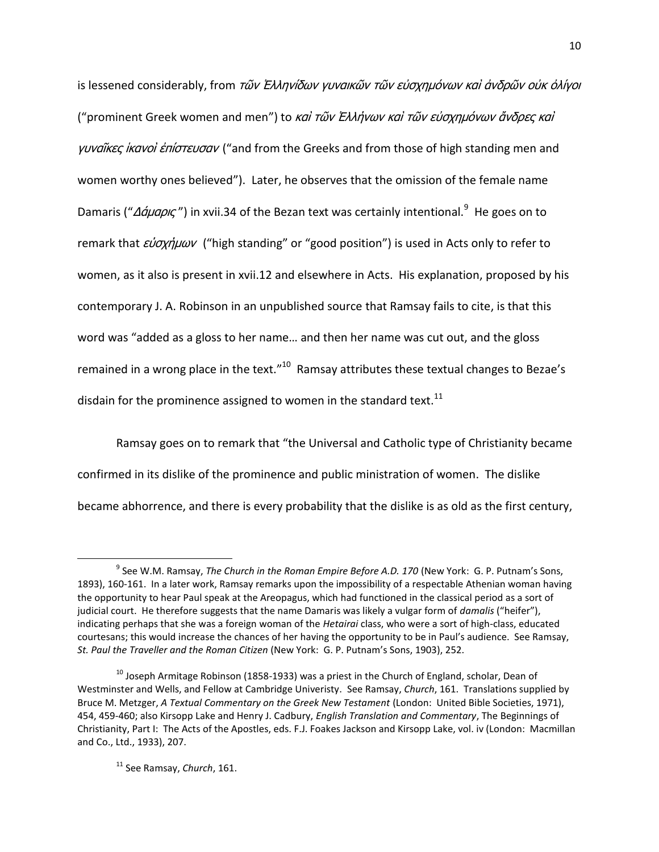is lessened considerably, from τῶν Ἐλληνίδων γυναικῶν τῶν εὐσχημόνων καὶ ἀνδρῶν οὐκ ὀλίγοι ("prominent Greek women and men") to καὶ τῶν Ἑλλήνων καὶ τῶν εὐσχημόνων ἄνδρες καὶ γυναῖκες ίκανοί ἐπίστευσαν ("and from the Greeks and from those of high standing men and women worthy ones believed"). Later, he observes that the omission of the female name Damaris ("Δάμαρις") in xvii.34 of the Bezan text was certainly intentional.<sup>9</sup> He goes on to remark that εύσχήμων ("high standing" or "good position") is used in Acts only to refer to women, as it also is present in xvii.12 and elsewhere in Acts. His explanation, proposed by his contemporary J. A. Robinson in an unpublished source that Ramsay fails to cite, is that this word was "added as a gloss to her name… and then her name was cut out, and the gloss remained in a wrong place in the text."<sup>10</sup> Ramsay attributes these textual changes to Bezae's disdain for the prominence assigned to women in the standard text. $^{11}$ 

Ramsay goes on to remark that "the Universal and Catholic type of Christianity became confirmed in its dislike of the prominence and public ministration of women. The dislike became abhorrence, and there is every probability that the dislike is as old as the first century,

<sup>11</sup> See Ramsay, *Church*, 161.

l

<sup>&</sup>lt;sup>9</sup> See W.M. Ramsay, *The Church in the Roman Empire Before A.D. 170* (New York: G. P. Putnam's Sons, 1893), 160-161. In a later work, Ramsay remarks upon the impossibility of a respectable Athenian woman having the opportunity to hear Paul speak at the Areopagus, which had functioned in the classical period as a sort of judicial court. He therefore suggests that the name Damaris was likely a vulgar form of *damalis* ("heifer"), indicating perhaps that she was a foreign woman of the *Hetairai* class, who were a sort of high-class, educated courtesans; this would increase the chances of her having the opportunity to be in Paul's audience. See Ramsay, *St. Paul the Traveller and the Roman Citizen* (New York: G. P. Putnam's Sons, 1903), 252.

 $^{10}$  Joseph Armitage Robinson (1858-1933) was a priest in the Church of England, scholar, Dean of Westminster and Wells, and Fellow at Cambridge Univeristy. See Ramsay, *Church*, 161. Translations supplied by Bruce M. Metzger, *A Textual Commentary on the Greek New Testament* (London: United Bible Societies, 1971), 454, 459-460; also Kirsopp Lake and Henry J. Cadbury, *English Translation and Commentary*, The Beginnings of Christianity, Part I: The Acts of the Apostles, eds. F.J. Foakes Jackson and Kirsopp Lake, vol. iv (London: Macmillan and Co., Ltd., 1933), 207.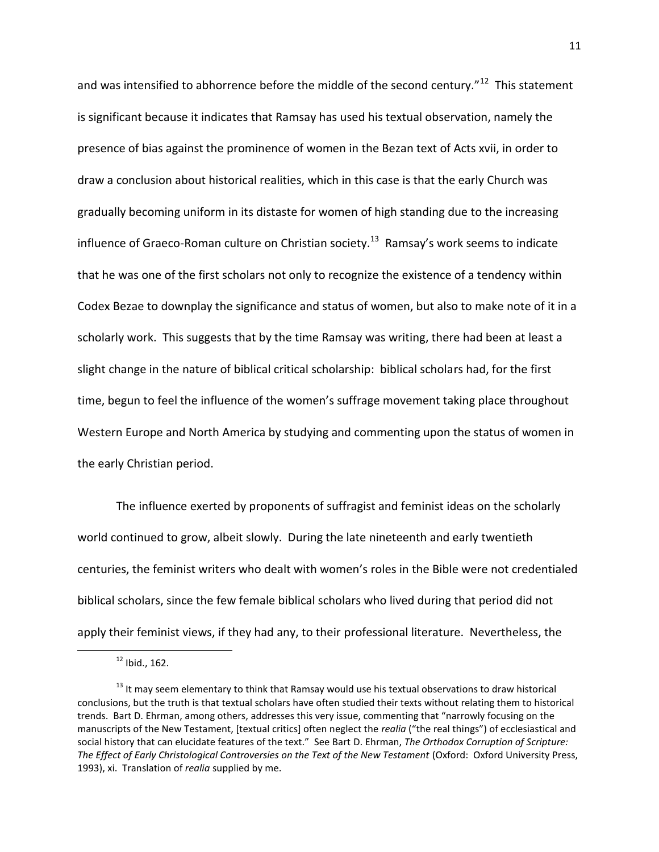and was intensified to abhorrence before the middle of the second century."<sup>12</sup> This statement is significant because it indicates that Ramsay has used his textual observation, namely the presence of bias against the prominence of women in the Bezan text of Acts xvii, in order to draw a conclusion about historical realities, which in this case is that the early Church was gradually becoming uniform in its distaste for women of high standing due to the increasing influence of Graeco-Roman culture on Christian society.<sup>13</sup> Ramsay's work seems to indicate that he was one of the first scholars not only to recognize the existence of a tendency within Codex Bezae to downplay the significance and status of women, but also to make note of it in a scholarly work. This suggests that by the time Ramsay was writing, there had been at least a slight change in the nature of biblical critical scholarship: biblical scholars had, for the first time, begun to feel the influence of the women's suffrage movement taking place throughout Western Europe and North America by studying and commenting upon the status of women in the early Christian period.

The influence exerted by proponents of suffragist and feminist ideas on the scholarly world continued to grow, albeit slowly. During the late nineteenth and early twentieth centuries, the feminist writers who dealt with women's roles in the Bible were not credentialed biblical scholars, since the few female biblical scholars who lived during that period did not apply their feminist views, if they had any, to their professional literature. Nevertheless, the

 $12$  Ibid., 162.

<sup>&</sup>lt;sup>13</sup> It may seem elementary to think that Ramsay would use his textual observations to draw historical conclusions, but the truth is that textual scholars have often studied their texts without relating them to historical trends. Bart D. Ehrman, among others, addresses this very issue, commenting that "narrowly focusing on the manuscripts of the New Testament, [textual critics] often neglect the *realia* ("the real things") of ecclesiastical and social history that can elucidate features of the text." See Bart D. Ehrman, *The Orthodox Corruption of Scripture: The Effect of Early Christological Controversies on the Text of the New Testament* (Oxford: Oxford University Press, 1993), xi. Translation of *realia* supplied by me.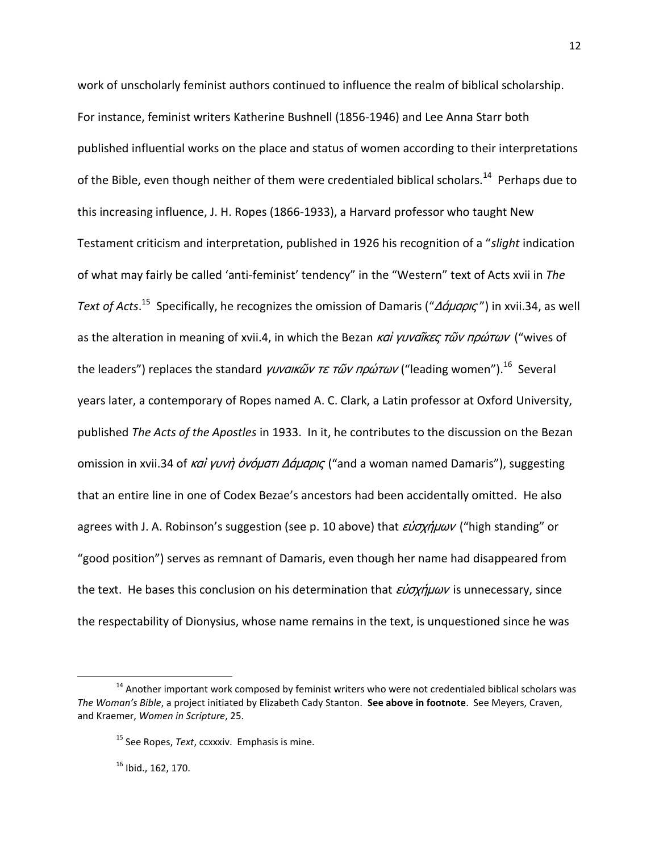work of unscholarly feminist authors continued to influence the realm of biblical scholarship. For instance, feminist writers Katherine Bushnell (1856-1946) and Lee Anna Starr both published influential works on the place and status of women according to their interpretations of the Bible, even though neither of them were credentialed biblical scholars.<sup>14</sup> Perhaps due to this increasing influence, J. H. Ropes (1866-1933), a Harvard professor who taught New Testament criticism and interpretation, published in 1926 his recognition of a "*slight* indication of what may fairly be called 'anti-feminist' tendency" in the "Western" text of Acts xvii in *The*  Text of Acts.<sup>15</sup> Specifically, he recognizes the omission of Damaris ("Δάμαρις") in xvii.34, as well as the alteration in meaning of xvii.4, in which the Bezan  $\kappa a\dot{i}$  γυναΐκες τῶν πρώτων ("wives of the leaders") replaces the standard *γυναικῶν τε τῶν πρώτων* ("leading women").<sup>16</sup> Several years later, a contemporary of Ropes named A. C. Clark, a Latin professor at Oxford University, published *The Acts of the Apostles* in 1933. In it, he contributes to the discussion on the Bezan omission in xvii.34 of καί γυνή όνόματι Δάμαρις ("and a woman named Damaris"), suggesting that an entire line in one of Codex Bezae's ancestors had been accidentally omitted. He also agrees with J. A. Robinson's suggestion (see p. 10 above) that  $\epsilon \nu \sigma \chi \eta \mu \omega \nu$  ("high standing" or "good position") serves as remnant of Damaris, even though her name had disappeared from the text. He bases this conclusion on his determination that  $\epsilon \nu \sigma \chi \eta \mu \omega \nu$  is unnecessary, since the respectability of Dionysius, whose name remains in the text, is unquestioned since he was

 $16$  Ibid., 162, 170.

<sup>&</sup>lt;sup>14</sup> Another important work composed by feminist writers who were not credentialed biblical scholars was *The Woman's Bible*, a project initiated by Elizabeth Cady Stanton. **See above in footnote**. See Meyers, Craven, and Kraemer, *Women in Scripture*, 25.

<sup>15</sup> See Ropes, *Text*, ccxxxiv. Emphasis is mine.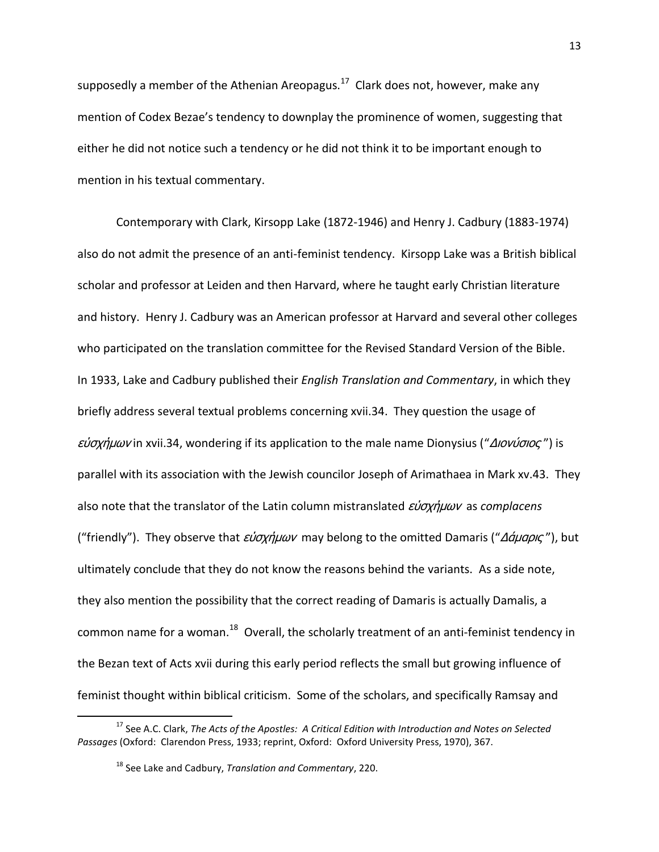supposedly a member of the Athenian Areopagus.<sup>17</sup> Clark does not, however, make any mention of Codex Bezae's tendency to downplay the prominence of women, suggesting that either he did not notice such a tendency or he did not think it to be important enough to mention in his textual commentary.

Contemporary with Clark, Kirsopp Lake (1872-1946) and Henry J. Cadbury (1883-1974) also do not admit the presence of an anti-feminist tendency. Kirsopp Lake was a British biblical scholar and professor at Leiden and then Harvard, where he taught early Christian literature and history. Henry J. Cadbury was an American professor at Harvard and several other colleges who participated on the translation committee for the Revised Standard Version of the Bible. In 1933, Lake and Cadbury published their *English Translation and Commentary*, in which they briefly address several textual problems concerning xvii.34. They question the usage of εύσχημων in xvii.34, wondering if its application to the male name Dionysius ("Διονύσιος") is parallel with its association with the Jewish councilor Joseph of Arimathaea in Mark xv.43. They also note that the translator of the Latin column mistranslated *εύσχήμων* as *complacens* ("friendly"). They observe that  $\epsilon \nu \sigma \chi \eta \mu \omega \nu$  may belong to the omitted Damaris ("Δάμαρις"), but ultimately conclude that they do not know the reasons behind the variants. As a side note, they also mention the possibility that the correct reading of Damaris is actually Damalis, a common name for a woman.<sup>18</sup> Overall, the scholarly treatment of an anti-feminist tendency in the Bezan text of Acts xvii during this early period reflects the small but growing influence of feminist thought within biblical criticism. Some of the scholars, and specifically Ramsay and

<sup>17</sup> See A.C. Clark, *The Acts of the Apostles: A Critical Edition with Introduction and Notes on Selected Passages* (Oxford: Clarendon Press, 1933; reprint, Oxford: Oxford University Press, 1970), 367.

<sup>18</sup> See Lake and Cadbury, *Translation and Commentary*, 220.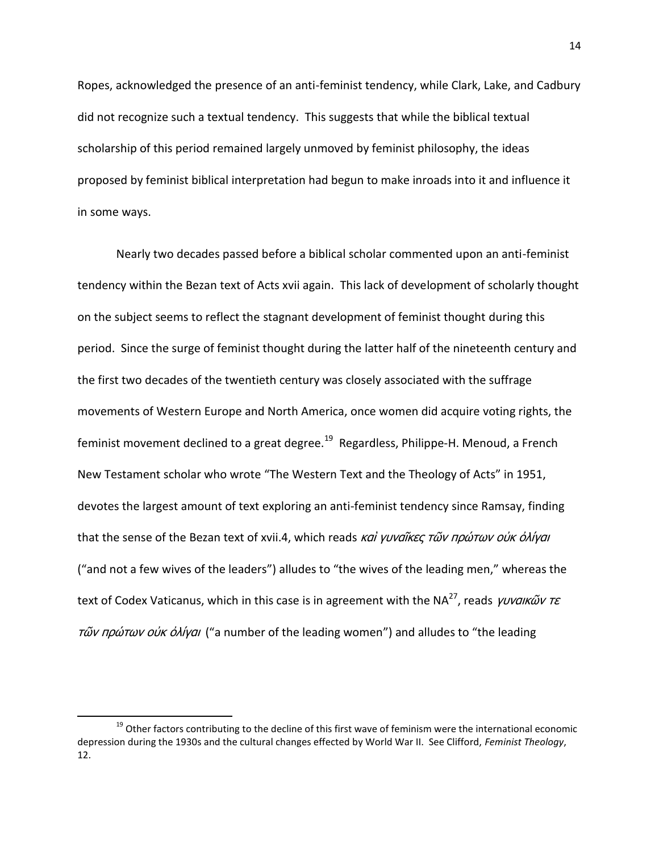Ropes, acknowledged the presence of an anti-feminist tendency, while Clark, Lake, and Cadbury did not recognize such a textual tendency. This suggests that while the biblical textual scholarship of this period remained largely unmoved by feminist philosophy, the ideas proposed by feminist biblical interpretation had begun to make inroads into it and influence it in some ways.

Nearly two decades passed before a biblical scholar commented upon an anti-feminist tendency within the Bezan text of Acts xvii again. This lack of development of scholarly thought on the subject seems to reflect the stagnant development of feminist thought during this period. Since the surge of feminist thought during the latter half of the nineteenth century and the first two decades of the twentieth century was closely associated with the suffrage movements of Western Europe and North America, once women did acquire voting rights, the feminist movement declined to a great degree.<sup>19</sup> Regardless, Philippe-H. Menoud, a French New Testament scholar who wrote "The Western Text and the Theology of Acts" in 1951, devotes the largest amount of text exploring an anti-feminist tendency since Ramsay, finding that the sense of the Bezan text of xvii.4, which reads και γυναΐκες τῶν πρώτων οὐκ ὀλίγαι ("and not a few wives of the leaders") alludes to "the wives of the leading men," whereas the text of Codex Vaticanus, which in this case is in agreement with the NA<sup>27</sup>, reads γυναικῶν τε τῶν πρώτων οὐκ ὀλίγαι ("a number of the leading women") and alludes to "the leading

<sup>&</sup>lt;sup>19</sup> Other factors contributing to the decline of this first wave of feminism were the international economic depression during the 1930s and the cultural changes effected by World War II. See Clifford, *Feminist Theology*, 12.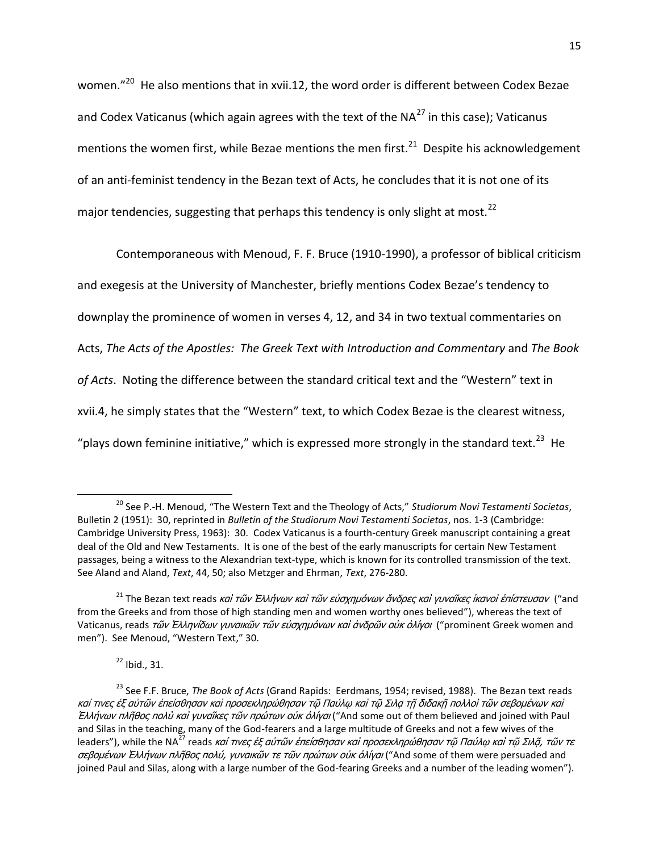women."<sup>20</sup> He also mentions that in xvii.12, the word order is different between Codex Bezae and Codex Vaticanus (which again agrees with the text of the  $NA^{27}$  in this case); Vaticanus mentions the women first, while Bezae mentions the men first.<sup>21</sup> Despite his acknowledgement of an anti-feminist tendency in the Bezan text of Acts, he concludes that it is not one of its major tendencies, suggesting that perhaps this tendency is only slight at most.<sup>22</sup>

Contemporaneous with Menoud, F. F. Bruce (1910-1990), a professor of biblical criticism and exegesis at the University of Manchester, briefly mentions Codex Bezae's tendency to downplay the prominence of women in verses 4, 12, and 34 in two textual commentaries on Acts, *The Acts of the Apostles: The Greek Text with Introduction and Commentary* and *The Book of Acts*. Noting the difference between the standard critical text and the "Western" text in xvii.4, he simply states that the "Western" text, to which Codex Bezae is the clearest witness, "plays down feminine initiative," which is expressed more strongly in the standard text.<sup>23</sup> He

<sup>22</sup> Ibid., 31.

<sup>20</sup> See P.-H. Menoud, "The Western Text and the Theology of Acts," *Studiorum Novi Testamenti Societas*, Bulletin 2 (1951): 30, reprinted in *Bulletin of the Studiorum Novi Testamenti Societas*, nos. 1-3 (Cambridge: Cambridge University Press, 1963): 30. Codex Vaticanus is a fourth-century Greek manuscript containing a great deal of the Old and New Testaments. It is one of the best of the early manuscripts for certain New Testament passages, being a witness to the Alexandrian text-type, which is known for its controlled transmission of the text. See Aland and Aland, *Text*, 44, 50; also Metzger and Ehrman, *Text*, 276-280.

<sup>&</sup>lt;sup>21</sup> The Bezan text reads καὶ τῶν Ἐλλήνων καὶ τῶν εὐσχημόνων ἄνδρες καὶ γυναῖκες ἱκανοὶ ἐπίστευσαν ("and from the Greeks and from those of high standing men and women worthy ones believed"), whereas the text of Vaticanus, reads τῶν Ελληνίδων γυναικῶν τῶν εὐσχημόνων καὶ ἀνδρῶν οὐκ ὀλίγοι ("prominent Greek women and men"). See Menoud, "Western Text," 30.

<sup>23</sup> See F.F. Bruce, *The Book of Acts* (Grand Rapids: Eerdmans, 1954; revised, 1988). The Bezan text reads καί τινες ἐξ αὐτῶν ἐπείσθησαν καὶ προσεκληρώθησαν τῷ Παύλῳ καὶ τῷ Σιλα τῆ διδακῆ πολλοὶ τῶν σεβομένων καὶ Ελλήνων πλῆθος πολὺ καὶ γυναῖκες τῶν πρώτων οὐκ ὀλίγαι ("And some out of them believed and joined with Paul and Silas in the teaching, many of the God-fearers and a large multitude of Greeks and not a few wives of the leaders"), while the NA<sup>27</sup> reads *καί τινες ἐξ αὐτῶν ἐπείσθησαν καὶ προσεκληρώθησαν τῷ Παύλῳ καὶ τῷ Σιλᾶ, τῶν τε* σεβομένων Έλλήνων πλῆθος πολύ, γυναικῶν τε τῶν πρώτων οὐκ ὀλίγαι ("And some of them were persuaded and joined Paul and Silas, along with a large number of the God-fearing Greeks and a number of the leading women").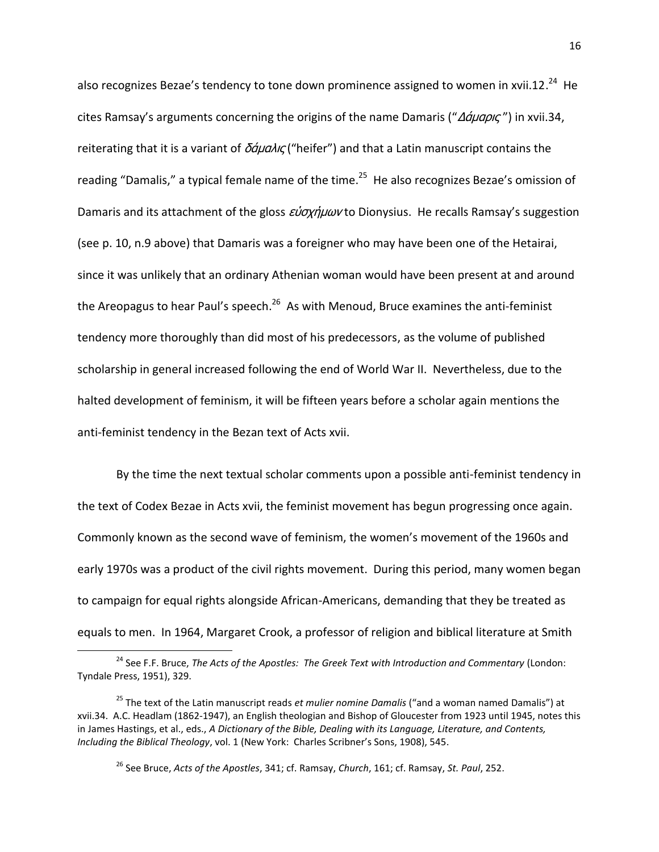also recognizes Bezae's tendency to tone down prominence assigned to women in xvii.12.<sup>24</sup> He cites Ramsay's arguments concerning the origins of the name Damaris (" $\Delta \acute{q} \mu$ apic") in xvii.34, reiterating that it is a variant of  $\delta \acute{q} \mu$  and ("heifer") and that a Latin manuscript contains the reading "Damalis," a typical female name of the time.<sup>25</sup> He also recognizes Bezae's omission of Damaris and its attachment of the gloss  $\epsilon \dot{\nu} \sigma x \dot{\eta} \mu \omega \nu$  to Dionysius. He recalls Ramsay's suggestion (see p. 10, n.9 above) that Damaris was a foreigner who may have been one of the Hetairai, since it was unlikely that an ordinary Athenian woman would have been present at and around the Areopagus to hear Paul's speech.<sup>26</sup> As with Menoud, Bruce examines the anti-feminist tendency more thoroughly than did most of his predecessors, as the volume of published scholarship in general increased following the end of World War II. Nevertheless, due to the halted development of feminism, it will be fifteen years before a scholar again mentions the anti-feminist tendency in the Bezan text of Acts xvii.

By the time the next textual scholar comments upon a possible anti-feminist tendency in the text of Codex Bezae in Acts xvii, the feminist movement has begun progressing once again. Commonly known as the second wave of feminism, the women's movement of the 1960s and early 1970s was a product of the civil rights movement. During this period, many women began to campaign for equal rights alongside African-Americans, demanding that they be treated as equals to men. In 1964, Margaret Crook, a professor of religion and biblical literature at Smith

<sup>&</sup>lt;sup>24</sup> See F.F. Bruce, *The Acts of the Apostles: The Greek Text with Introduction and Commentary* (London: Tyndale Press, 1951), 329.

<sup>25</sup> The text of the Latin manuscript reads *et mulier nomine Damalis* ("and a woman named Damalis") at xvii.34. A.C. Headlam (1862-1947), an English theologian and Bishop of Gloucester from 1923 until 1945, notes this in James Hastings, et al., eds., *A Dictionary of the Bible, Dealing with its Language, Literature, and Contents, Including the Biblical Theology*, vol. 1 (New York: Charles Scribner's Sons, 1908), 545.

<sup>26</sup> See Bruce, *Acts of the Apostles*, 341; cf. Ramsay, *Church*, 161; cf. Ramsay, *St. Paul*, 252.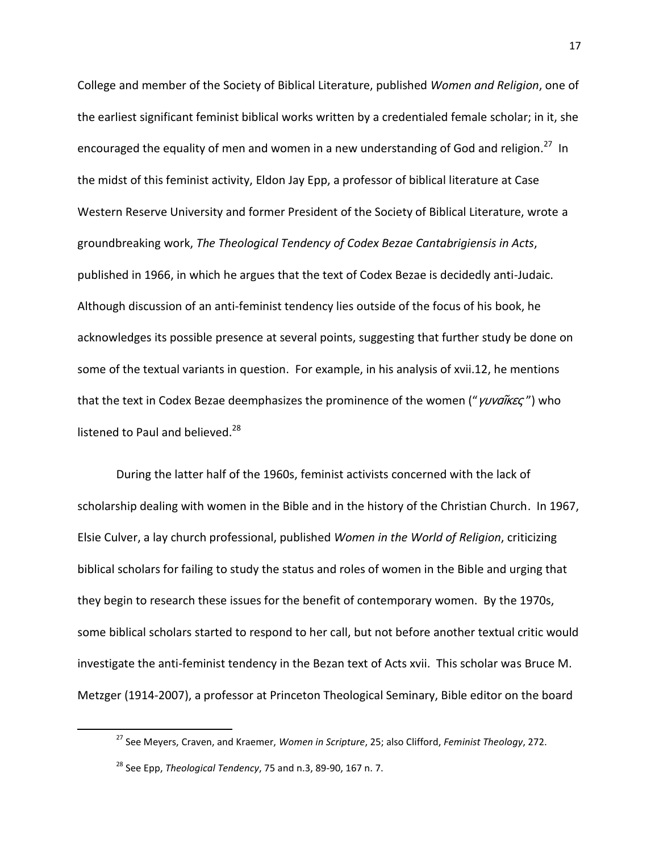College and member of the Society of Biblical Literature, published *Women and Religion*, one of the earliest significant feminist biblical works written by a credentialed female scholar; in it, she encouraged the equality of men and women in a new understanding of God and religion.<sup>27</sup> In the midst of this feminist activity, Eldon Jay Epp, a professor of biblical literature at Case Western Reserve University and former President of the Society of Biblical Literature, wrote a groundbreaking work, *The Theological Tendency of Codex Bezae Cantabrigiensis in Acts*, published in 1966, in which he argues that the text of Codex Bezae is decidedly anti-Judaic. Although discussion of an anti-feminist tendency lies outside of the focus of his book, he acknowledges its possible presence at several points, suggesting that further study be done on some of the textual variants in question. For example, in his analysis of xvii.12, he mentions that the text in Codex Bezae deemphasizes the prominence of the women ("γυναΐκες") who listened to Paul and believed.<sup>28</sup>

During the latter half of the 1960s, feminist activists concerned with the lack of scholarship dealing with women in the Bible and in the history of the Christian Church. In 1967, Elsie Culver, a lay church professional, published *Women in the World of Religion*, criticizing biblical scholars for failing to study the status and roles of women in the Bible and urging that they begin to research these issues for the benefit of contemporary women. By the 1970s, some biblical scholars started to respond to her call, but not before another textual critic would investigate the anti-feminist tendency in the Bezan text of Acts xvii. This scholar was Bruce M. Metzger (1914-2007), a professor at Princeton Theological Seminary, Bible editor on the board

<sup>27</sup> See Meyers, Craven, and Kraemer, *Women in Scripture*, 25; also Clifford, *Feminist Theology*, 272.

<sup>28</sup> See Epp, *Theological Tendency*, 75 and n.3, 89-90, 167 n. 7.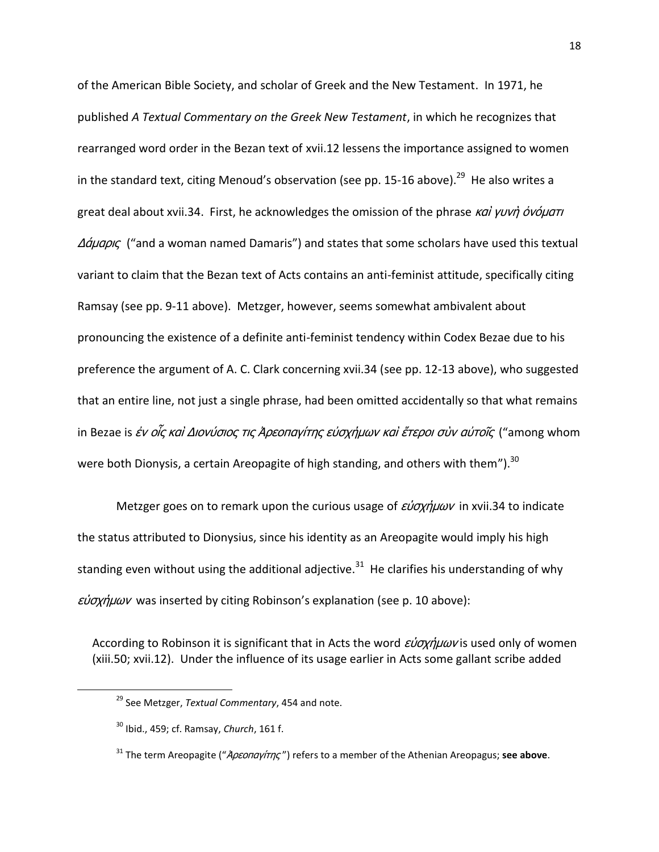of the American Bible Society, and scholar of Greek and the New Testament. In 1971, he published *A Textual Commentary on the Greek New Testament*, in which he recognizes that rearranged word order in the Bezan text of xvii.12 lessens the importance assigned to women in the standard text, citing Menoud's observation (see pp. 15-16 above).<sup>29</sup> He also writes a great deal about xvii.34. First, he acknowledges the omission of the phrase καὶ γυνὴ ὀνόματι Δάμαρις ("and a woman named Damaris") and states that some scholars have used this textual variant to claim that the Bezan text of Acts contains an anti-feminist attitude, specifically citing Ramsay (see pp. 9-11 above). Metzger, however, seems somewhat ambivalent about pronouncing the existence of a definite anti-feminist tendency within Codex Bezae due to his preference the argument of A. C. Clark concerning xvii.34 (see pp. 12-13 above), who suggested that an entire line, not just a single phrase, had been omitted accidentally so that what remains in Bezae is *ἐν οἶς καὶ Διονύσιος τις Ἀρεοπαγίτης εὐσχήμων καὶ ἕτεροι σὺν αὐτοῖς* ("among whom were both Dionysis, a certain Areopagite of high standing, and others with them"). $^{30}$ 

Metzger goes on to remark upon the curious usage of  $\epsilon \nu \sigma \chi \eta \mu \omega \nu$  in xvii.34 to indicate the status attributed to Dionysius, since his identity as an Areopagite would imply his high standing even without using the additional adjective.<sup>31</sup> He clarifies his understanding of why  $\epsilon \nu \sigma \chi \eta \mu \omega \nu$  was inserted by citing Robinson's explanation (see p. 10 above):

According to Robinson it is significant that in Acts the word εύσχήμων is used only of women (xiii.50; xvii.12). Under the influence of its usage earlier in Acts some gallant scribe added

<sup>29</sup> See Metzger, *Textual Commentary*, 454 and note.

<sup>30</sup> Ibid., 459; cf. Ramsay, *Church*, 161 f.

<sup>&</sup>lt;sup>31</sup> The term Areopagite ("*Ἀρεοπαγίτης"*) refers to a member of the Athenian Areopagus; see above.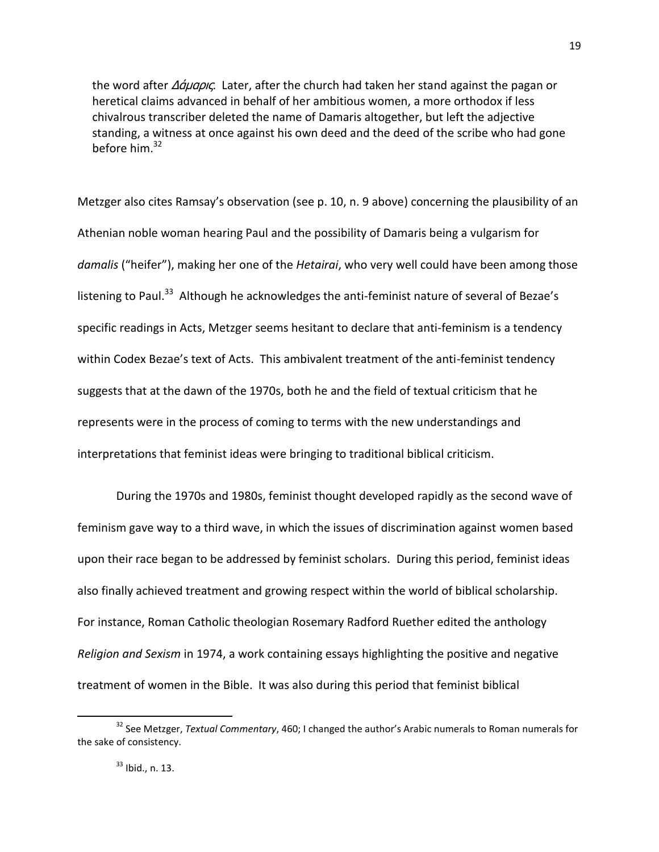the word after Δάμαρις. Later, after the church had taken her stand against the pagan or heretical claims advanced in behalf of her ambitious women, a more orthodox if less chivalrous transcriber deleted the name of Damaris altogether, but left the adjective standing, a witness at once against his own deed and the deed of the scribe who had gone before him. $32$ 

Metzger also cites Ramsay's observation (see p. 10, n. 9 above) concerning the plausibility of an Athenian noble woman hearing Paul and the possibility of Damaris being a vulgarism for *damalis* ("heifer"), making her one of the *Hetairai*, who very well could have been among those listening to Paul.<sup>33</sup> Although he acknowledges the anti-feminist nature of several of Bezae's specific readings in Acts, Metzger seems hesitant to declare that anti-feminism is a tendency within Codex Bezae's text of Acts. This ambivalent treatment of the anti-feminist tendency suggests that at the dawn of the 1970s, both he and the field of textual criticism that he represents were in the process of coming to terms with the new understandings and interpretations that feminist ideas were bringing to traditional biblical criticism.

During the 1970s and 1980s, feminist thought developed rapidly as the second wave of feminism gave way to a third wave, in which the issues of discrimination against women based upon their race began to be addressed by feminist scholars. During this period, feminist ideas also finally achieved treatment and growing respect within the world of biblical scholarship. For instance, Roman Catholic theologian Rosemary Radford Ruether edited the anthology *Religion and Sexism* in 1974, a work containing essays highlighting the positive and negative treatment of women in the Bible. It was also during this period that feminist biblical

<sup>32</sup> See Metzger, *Textual Commentary*, 460; I changed the author's Arabic numerals to Roman numerals for the sake of consistency.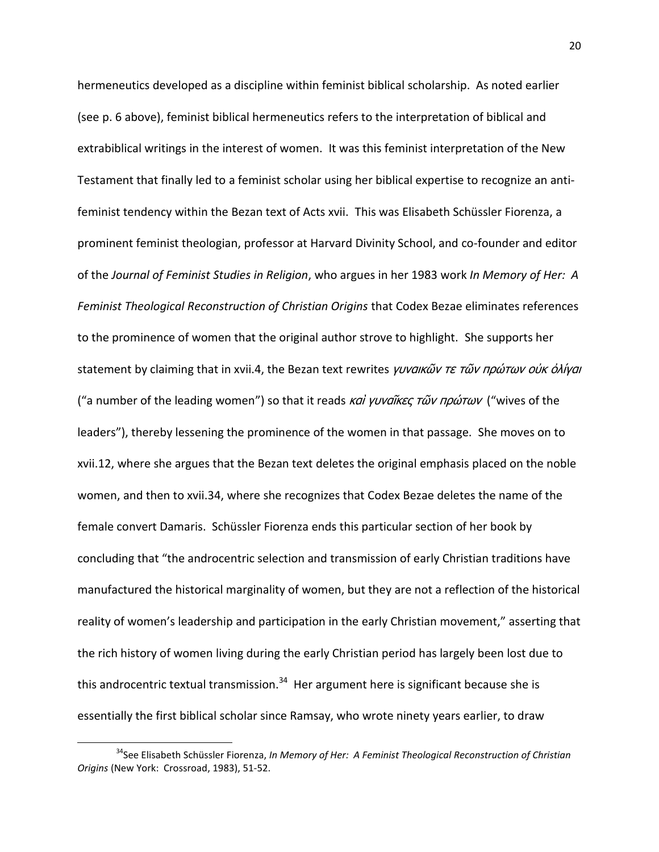hermeneutics developed as a discipline within feminist biblical scholarship. As noted earlier (see p. 6 above), feminist biblical hermeneutics refers to the interpretation of biblical and extrabiblical writings in the interest of women. It was this feminist interpretation of the New Testament that finally led to a feminist scholar using her biblical expertise to recognize an antifeminist tendency within the Bezan text of Acts xvii. This was Elisabeth Schüssler Fiorenza, a prominent feminist theologian, professor at Harvard Divinity School, and co-founder and editor of the *Journal of Feminist Studies in Religion*, who argues in her 1983 work *In Memory of Her: A Feminist Theological Reconstruction of Christian Origins* that Codex Bezae eliminates references to the prominence of women that the original author strove to highlight. She supports her statement by claiming that in xvii.4, the Bezan text rewrites γυναικῶν τε τῶν πρώτων οὐκ ὀλίγαι ("a number of the leading women") so that it reads και γυναΐκες τῶν πρώτων ("wives of the leaders"), thereby lessening the prominence of the women in that passage. She moves on to xvii.12, where she argues that the Bezan text deletes the original emphasis placed on the noble women, and then to xvii.34, where she recognizes that Codex Bezae deletes the name of the female convert Damaris. Schüssler Fiorenza ends this particular section of her book by concluding that "the androcentric selection and transmission of early Christian traditions have manufactured the historical marginality of women, but they are not a reflection of the historical reality of women's leadership and participation in the early Christian movement," asserting that the rich history of women living during the early Christian period has largely been lost due to this androcentric textual transmission.<sup>34</sup> Her argument here is significant because she is essentially the first biblical scholar since Ramsay, who wrote ninety years earlier, to draw

l

<sup>&</sup>lt;sup>34</sup>See Elisabeth Schüssler Fiorenza, *In Memory of Her: A Feminist Theological Reconstruction of Christian Origins* (New York: Crossroad, 1983), 51-52.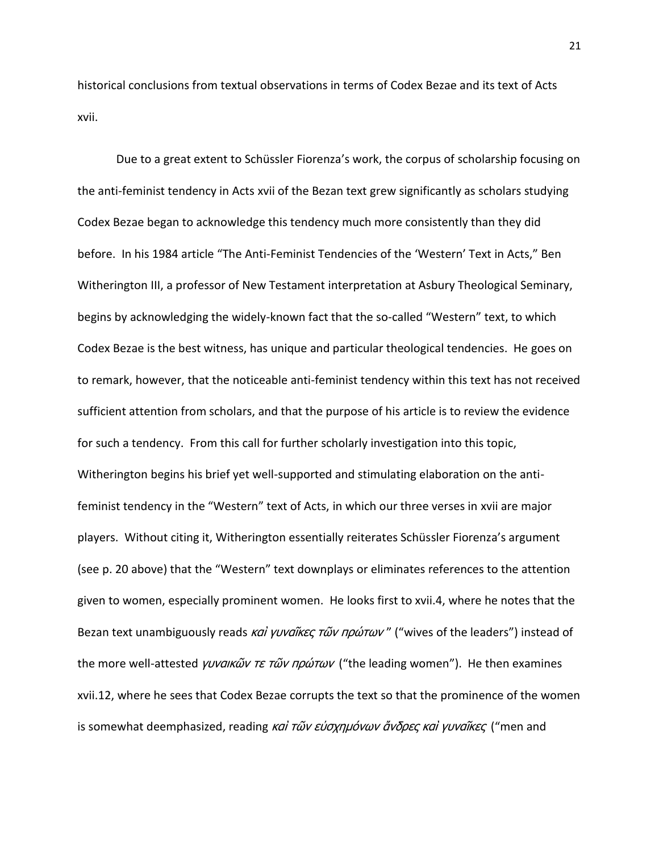historical conclusions from textual observations in terms of Codex Bezae and its text of Acts xvii.

Due to a great extent to Schüssler Fiorenza's work, the corpus of scholarship focusing on the anti-feminist tendency in Acts xvii of the Bezan text grew significantly as scholars studying Codex Bezae began to acknowledge this tendency much more consistently than they did before. In his 1984 article "The Anti-Feminist Tendencies of the 'Western' Text in Acts," Ben Witherington III, a professor of New Testament interpretation at Asbury Theological Seminary, begins by acknowledging the widely-known fact that the so-called "Western" text, to which Codex Bezae is the best witness, has unique and particular theological tendencies. He goes on to remark, however, that the noticeable anti-feminist tendency within this text has not received sufficient attention from scholars, and that the purpose of his article is to review the evidence for such a tendency. From this call for further scholarly investigation into this topic, Witherington begins his brief yet well-supported and stimulating elaboration on the antifeminist tendency in the "Western" text of Acts, in which our three verses in xvii are major players. Without citing it, Witherington essentially reiterates Schüssler Fiorenza's argument (see p. 20 above) that the "Western" text downplays or eliminates references to the attention given to women, especially prominent women. He looks first to xvii.4, where he notes that the Bezan text unambiguously reads καί γυναΐκες τῶν πρώτων" ("wives of the leaders") instead of the more well-attested *γυναικῶν τε τῶν πρώτων* ("the leading women"). He then examines xvii.12, where he sees that Codex Bezae corrupts the text so that the prominence of the women is somewhat deemphasized, reading και τῶν εὐσχημόνων ἄνδρες και γυναῖκες ("men and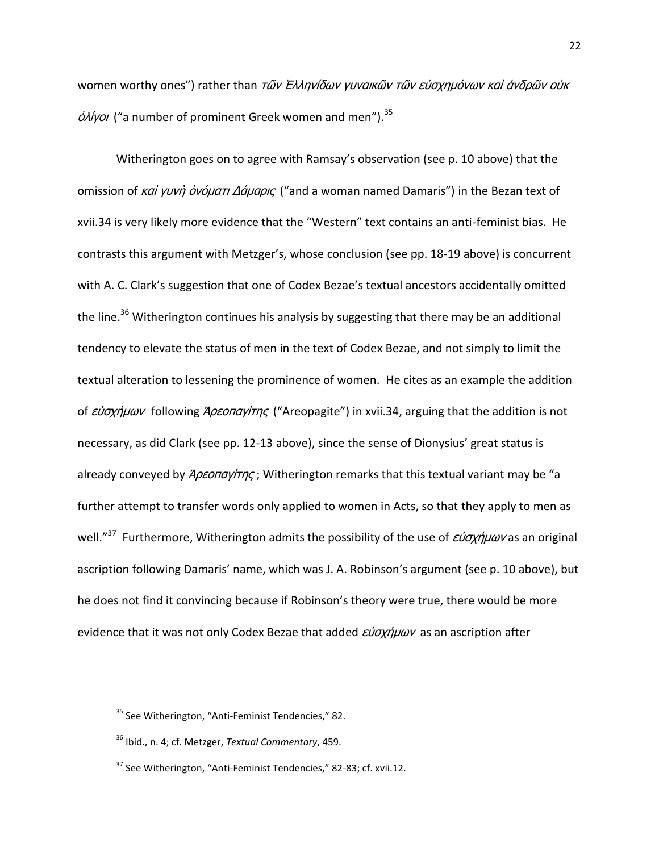women worthy ones") rather than τῶν Ἐλληνίδων γυναικῶν τῶν εὐσχημόνων καὶ ἀνδρῶν οὐκ  $\dot{\phi}$ λίγοι ("a number of prominent Greek women and men").<sup>35</sup>

Witherington goes on to agree with Ramsay's observation (see p. 10 above) that the omission of καί γυνή όνόματι Δάμαρις ("and a woman named Damaris") in the Bezan text of xvii.34 is very likely more evidence that the "Western" text contains an anti-feminist bias. He contrasts this argument with Metzger's, whose conclusion (see pp. 18-19 above) is concurrent with A. C. Clark's suggestion that one of Codex Bezae's textual ancestors accidentally omitted the line.<sup>36</sup> Witherington continues his analysis by suggesting that there may be an additional tendency to elevate the status of men in the text of Codex Bezae, and not simply to limit the textual alteration to lessening the prominence of women. He cites as an example the addition of εύσχημων following Άρεσπαγίτης ("Areopagite") in xvii.34, arguing that the addition is not necessary, as did Clark (see pp. 12-13 above), since the sense of Dionysius' great status is already conveyed by *Άρεοπαγίτης*; Witherington remarks that this textual variant may be "a further attempt to transfer words only applied to women in Acts, so that they apply to men as well."<sup>37</sup> Furthermore, Witherington admits the possibility of the use of εύσχήμων as an original ascription following Damaris' name, which was J. A. Robinson's argument (see p. 10 above), but he does not find it convincing because if Robinson's theory were true, there would be more evidence that it was not only Codex Bezae that added  $\epsilon \nu \sigma \chi \eta \mu \omega \nu$  as an ascription after

l

<sup>&</sup>lt;sup>35</sup> See Witherington, "Anti-Feminist Tendencies," 82.

<sup>36</sup> Ibid., n. 4; cf. Metzger, *Textual Commentary*, 459.

<sup>&</sup>lt;sup>37</sup> See Witherington, "Anti-Feminist Tendencies," 82-83; cf. xvii.12.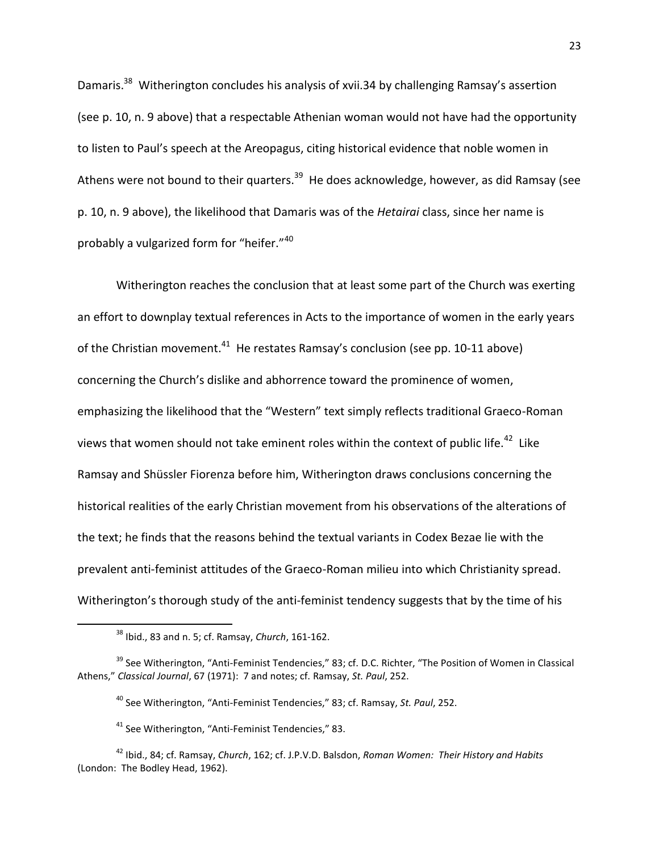Damaris.<sup>38</sup> Witherington concludes his analysis of xvii.34 by challenging Ramsay's assertion (see p. 10, n. 9 above) that a respectable Athenian woman would not have had the opportunity to listen to Paul's speech at the Areopagus, citing historical evidence that noble women in Athens were not bound to their quarters.<sup>39</sup> He does acknowledge, however, as did Ramsay (see p. 10, n. 9 above), the likelihood that Damaris was of the *Hetairai* class, since her name is probably a vulgarized form for "heifer."<sup>40</sup>

Witherington reaches the conclusion that at least some part of the Church was exerting an effort to downplay textual references in Acts to the importance of women in the early years of the Christian movement. $^{41}$  He restates Ramsay's conclusion (see pp. 10-11 above) concerning the Church's dislike and abhorrence toward the prominence of women, emphasizing the likelihood that the "Western" text simply reflects traditional Graeco-Roman views that women should not take eminent roles within the context of public life.<sup>42</sup> Like Ramsay and Shüssler Fiorenza before him, Witherington draws conclusions concerning the historical realities of the early Christian movement from his observations of the alterations of the text; he finds that the reasons behind the textual variants in Codex Bezae lie with the prevalent anti-feminist attitudes of the Graeco-Roman milieu into which Christianity spread. Witherington's thorough study of the anti-feminist tendency suggests that by the time of his

<sup>38</sup> Ibid., 83 and n. 5; cf. Ramsay, *Church*, 161-162.

<sup>&</sup>lt;sup>39</sup> See Witherington, "Anti-Feminist Tendencies," 83; cf. D.C. Richter, "The Position of Women in Classical Athens," *Classical Journal*, 67 (1971): 7 and notes; cf. Ramsay, *St. Paul*, 252.

<sup>40</sup> See Witherington, "Anti-Feminist Tendencies," 83; cf. Ramsay, *St. Paul*, 252.

<sup>&</sup>lt;sup>41</sup> See Witherington, "Anti-Feminist Tendencies," 83.

<sup>42</sup> Ibid., 84; cf. Ramsay, *Church*, 162; cf. J.P.V.D. Balsdon, *Roman Women: Their History and Habits* (London: The Bodley Head, 1962).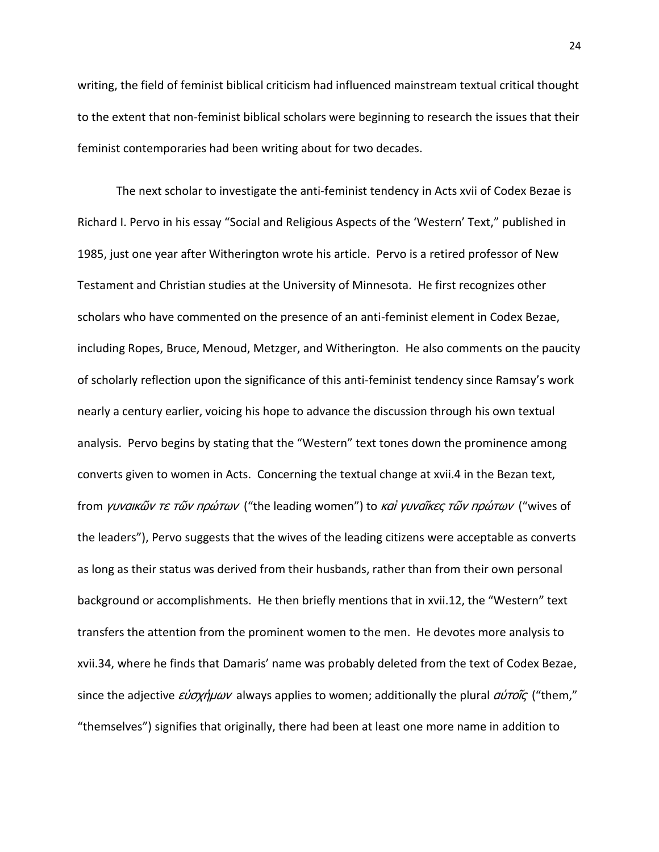writing, the field of feminist biblical criticism had influenced mainstream textual critical thought to the extent that non-feminist biblical scholars were beginning to research the issues that their feminist contemporaries had been writing about for two decades.

The next scholar to investigate the anti-feminist tendency in Acts xvii of Codex Bezae is Richard I. Pervo in his essay "Social and Religious Aspects of the 'Western' Text," published in 1985, just one year after Witherington wrote his article. Pervo is a retired professor of New Testament and Christian studies at the University of Minnesota. He first recognizes other scholars who have commented on the presence of an anti-feminist element in Codex Bezae, including Ropes, Bruce, Menoud, Metzger, and Witherington. He also comments on the paucity of scholarly reflection upon the significance of this anti-feminist tendency since Ramsay's work nearly a century earlier, voicing his hope to advance the discussion through his own textual analysis. Pervo begins by stating that the "Western" text tones down the prominence among converts given to women in Acts. Concerning the textual change at xvii.4 in the Bezan text, from *γυναικῶν τε τῶν πρώτων* ("the leading women") to *καὶ γυναῖκες τῶν πρώτων* ("wives of the leaders"), Pervo suggests that the wives of the leading citizens were acceptable as converts as long as their status was derived from their husbands, rather than from their own personal background or accomplishments. He then briefly mentions that in xvii.12, the "Western" text transfers the attention from the prominent women to the men. He devotes more analysis to xvii.34, where he finds that Damaris' name was probably deleted from the text of Codex Bezae, since the adjective  $\epsilon \nu \sigma \chi \eta \mu \omega \nu$  always applies to women; additionally the plural  $\alpha \nu \tau \sigma \tilde{\kappa}$  ("them," "themselves") signifies that originally, there had been at least one more name in addition to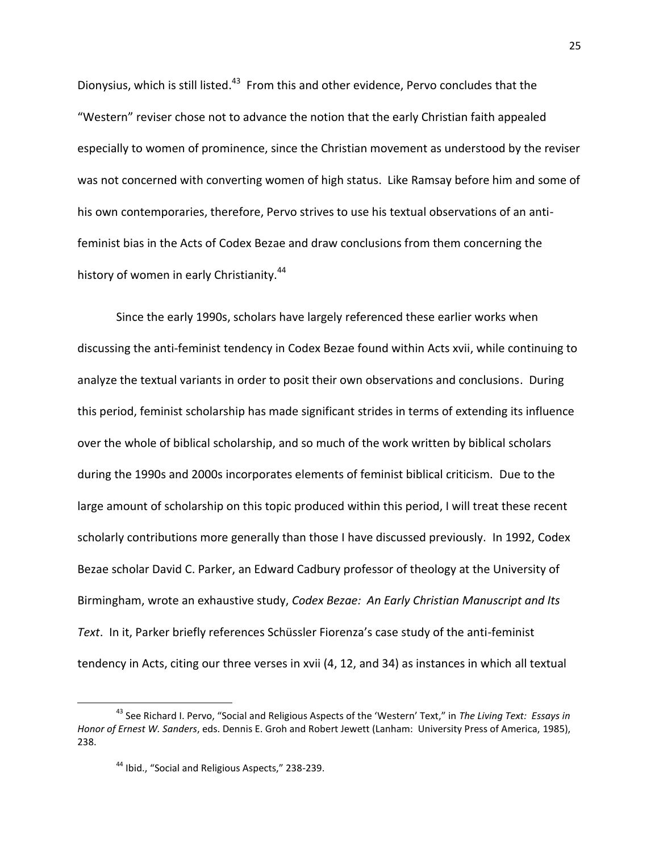Dionysius, which is still listed.<sup>43</sup> From this and other evidence, Pervo concludes that the "Western" reviser chose not to advance the notion that the early Christian faith appealed especially to women of prominence, since the Christian movement as understood by the reviser was not concerned with converting women of high status. Like Ramsay before him and some of his own contemporaries, therefore, Pervo strives to use his textual observations of an antifeminist bias in the Acts of Codex Bezae and draw conclusions from them concerning the history of women in early Christianity.<sup>44</sup>

Since the early 1990s, scholars have largely referenced these earlier works when discussing the anti-feminist tendency in Codex Bezae found within Acts xvii, while continuing to analyze the textual variants in order to posit their own observations and conclusions. During this period, feminist scholarship has made significant strides in terms of extending its influence over the whole of biblical scholarship, and so much of the work written by biblical scholars during the 1990s and 2000s incorporates elements of feminist biblical criticism. Due to the large amount of scholarship on this topic produced within this period, I will treat these recent scholarly contributions more generally than those I have discussed previously. In 1992, Codex Bezae scholar David C. Parker, an Edward Cadbury professor of theology at the University of Birmingham, wrote an exhaustive study, *Codex Bezae: An Early Christian Manuscript and Its Text*. In it, Parker briefly references Schüssler Fiorenza's case study of the anti-feminist tendency in Acts, citing our three verses in xvii (4, 12, and 34) as instances in which all textual

l

<sup>43</sup> See Richard I. Pervo, "Social and Religious Aspects of the 'Western' Text," in *The Living Text: Essays in Honor of Ernest W. Sanders*, eds. Dennis E. Groh and Robert Jewett (Lanham: University Press of America, 1985), 238.

<sup>&</sup>lt;sup>44</sup> Ibid., "Social and Religious Aspects," 238-239.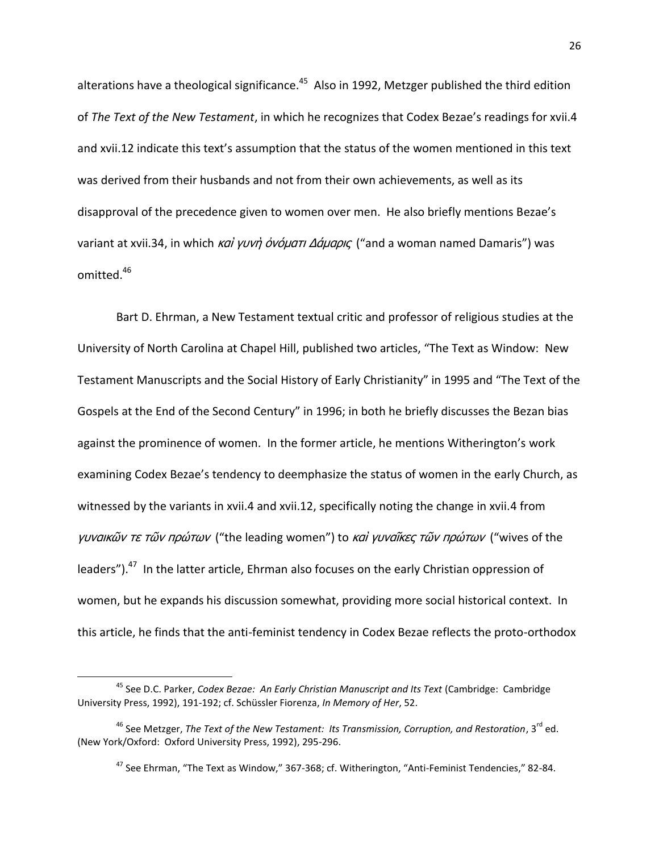alterations have a theological significance.<sup>45</sup> Also in 1992, Metzger published the third edition of *The Text of the New Testament*, in which he recognizes that Codex Bezae's readings for xvii.4 and xvii.12 indicate this text's assumption that the status of the women mentioned in this text was derived from their husbands and not from their own achievements, as well as its disapproval of the precedence given to women over men. He also briefly mentions Bezae's variant at xvii.34, in which καί γυνή όνόματι Δάμαρις ("and a woman named Damaris") was omitted.<sup>46</sup>

Bart D. Ehrman, a New Testament textual critic and professor of religious studies at the University of North Carolina at Chapel Hill, published two articles, "The Text as Window: New Testament Manuscripts and the Social History of Early Christianity" in 1995 and "The Text of the Gospels at the End of the Second Century" in 1996; in both he briefly discusses the Bezan bias against the prominence of women. In the former article, he mentions Witherington's work examining Codex Bezae's tendency to deemphasize the status of women in the early Church, as witnessed by the variants in xvii.4 and xvii.12, specifically noting the change in xvii.4 from γυναικῶν τε τῶν πρώτων ("the leading women") to καί γυναῖκες τῶν πρώτων ("wives of the leaders").<sup>47</sup> In the latter article, Ehrman also focuses on the early Christian oppression of women, but he expands his discussion somewhat, providing more social historical context. In this article, he finds that the anti-feminist tendency in Codex Bezae reflects the proto-orthodox

<sup>45</sup> See D.C. Parker, *Codex Bezae: An Early Christian Manuscript and Its Text* (Cambridge: Cambridge University Press, 1992), 191-192; cf. Schüssler Fiorenza, *In Memory of Her*, 52.

<sup>&</sup>lt;sup>46</sup> See Metzger, *The Text of the New Testament: Its Transmission, Corruption, and Restoration*, 3<sup>rd</sup> ed. (New York/Oxford: Oxford University Press, 1992), 295-296.

 $47$  See Ehrman, "The Text as Window," 367-368; cf. Witherington, "Anti-Feminist Tendencies," 82-84.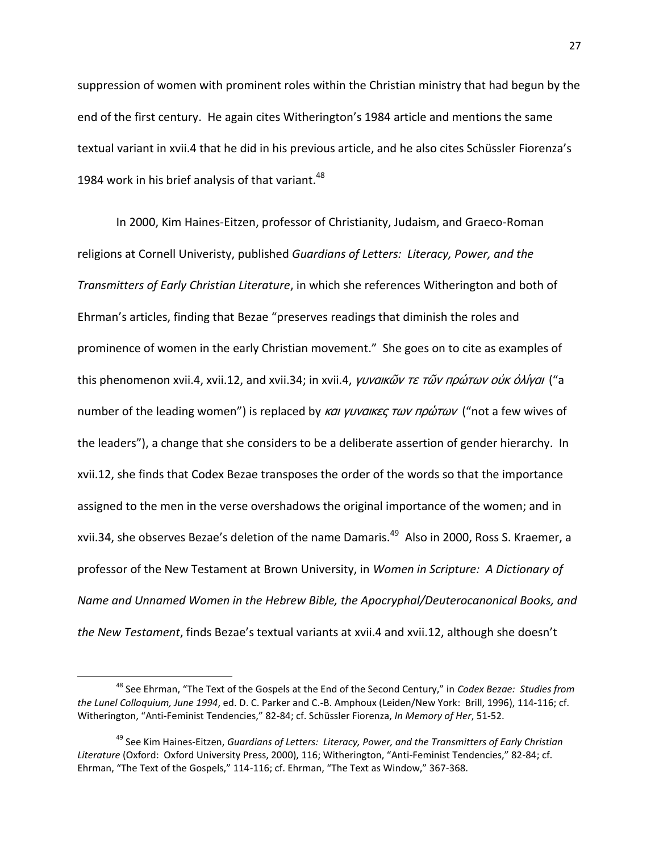suppression of women with prominent roles within the Christian ministry that had begun by the end of the first century. He again cites Witherington's 1984 article and mentions the same textual variant in xvii.4 that he did in his previous article, and he also cites Schüssler Fiorenza's 1984 work in his brief analysis of that variant. $^{48}$ 

In 2000, Kim Haines-Eitzen, professor of Christianity, Judaism, and Graeco-Roman religions at Cornell Univeristy, published *Guardians of Letters: Literacy, Power, and the Transmitters of Early Christian Literature*, in which she references Witherington and both of Ehrman's articles, finding that Bezae "preserves readings that diminish the roles and prominence of women in the early Christian movement." She goes on to cite as examples of this phenomenon xvii.4, xvii.12, and xvii.34; in xvii.4, *γυναικῶν τε τῶν πρώτων οὐκ ὀλίγαι* ("a number of the leading women") is replaced by και γυναικες των πρώτων ("not a few wives of the leaders"), a change that she considers to be a deliberate assertion of gender hierarchy. In xvii.12, she finds that Codex Bezae transposes the order of the words so that the importance assigned to the men in the verse overshadows the original importance of the women; and in xvii.34, she observes Bezae's deletion of the name Damaris.<sup>49</sup> Also in 2000, Ross S. Kraemer, a professor of the New Testament at Brown University, in *Women in Scripture: A Dictionary of Name and Unnamed Women in the Hebrew Bible, the Apocryphal/Deuterocanonical Books, and the New Testament*, finds Bezae's textual variants at xvii.4 and xvii.12, although she doesn't

<sup>48</sup> See Ehrman, "The Text of the Gospels at the End of the Second Century," in *Codex Bezae: Studies from the Lunel Colloquium, June 1994*, ed. D. C. Parker and C.-B. Amphoux (Leiden/New York: Brill, 1996), 114-116; cf. Witherington, "Anti-Feminist Tendencies," 82-84; cf. Schüssler Fiorenza, *In Memory of Her*, 51-52.

<sup>49</sup> See Kim Haines-Eitzen, *Guardians of Letters: Literacy, Power, and the Transmitters of Early Christian Literature* (Oxford: Oxford University Press, 2000), 116; Witherington, "Anti-Feminist Tendencies," 82-84; cf. Ehrman, "The Text of the Gospels," 114-116; cf. Ehrman, "The Text as Window," 367-368.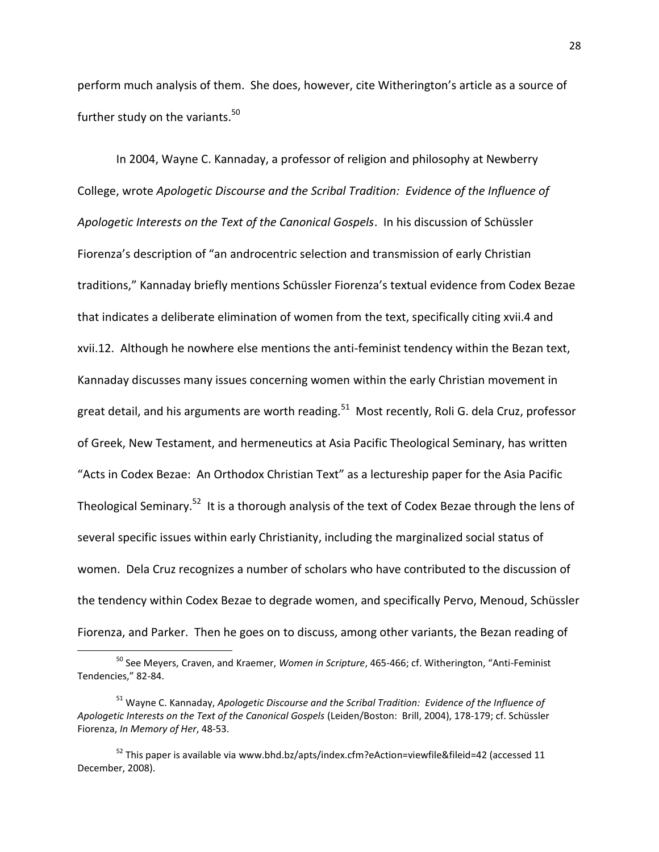perform much analysis of them. She does, however, cite Witherington's article as a source of further study on the variants.<sup>50</sup>

In 2004, Wayne C. Kannaday, a professor of religion and philosophy at Newberry College, wrote *Apologetic Discourse and the Scribal Tradition: Evidence of the Influence of Apologetic Interests on the Text of the Canonical Gospels*. In his discussion of Schüssler Fiorenza's description of "an androcentric selection and transmission of early Christian traditions," Kannaday briefly mentions Schüssler Fiorenza's textual evidence from Codex Bezae that indicates a deliberate elimination of women from the text, specifically citing xvii.4 and xvii.12. Although he nowhere else mentions the anti-feminist tendency within the Bezan text, Kannaday discusses many issues concerning women within the early Christian movement in great detail, and his arguments are worth reading.<sup>51</sup> Most recently, Roli G. dela Cruz, professor of Greek, New Testament, and hermeneutics at Asia Pacific Theological Seminary, has written "Acts in Codex Bezae: An Orthodox Christian Text" as a lectureship paper for the Asia Pacific Theological Seminary.<sup>52</sup> It is a thorough analysis of the text of Codex Bezae through the lens of several specific issues within early Christianity, including the marginalized social status of women. Dela Cruz recognizes a number of scholars who have contributed to the discussion of the tendency within Codex Bezae to degrade women, and specifically Pervo, Menoud, Schüssler Fiorenza, and Parker. Then he goes on to discuss, among other variants, the Bezan reading of

<sup>50</sup> See Meyers, Craven, and Kraemer, *Women in Scripture*, 465-466; cf. Witherington, "Anti-Feminist Tendencies," 82-84.

<sup>51</sup> Wayne C. Kannaday, *Apologetic Discourse and the Scribal Tradition: Evidence of the Influence of Apologetic Interests on the Text of the Canonical Gospels* (Leiden/Boston: Brill, 2004), 178-179; cf. Schüssler Fiorenza, *In Memory of Her*, 48-53.

 $52$  This paper is available via www.bhd.bz/apts/index.cfm?eAction=viewfile&fileid=42 (accessed 11 December, 2008).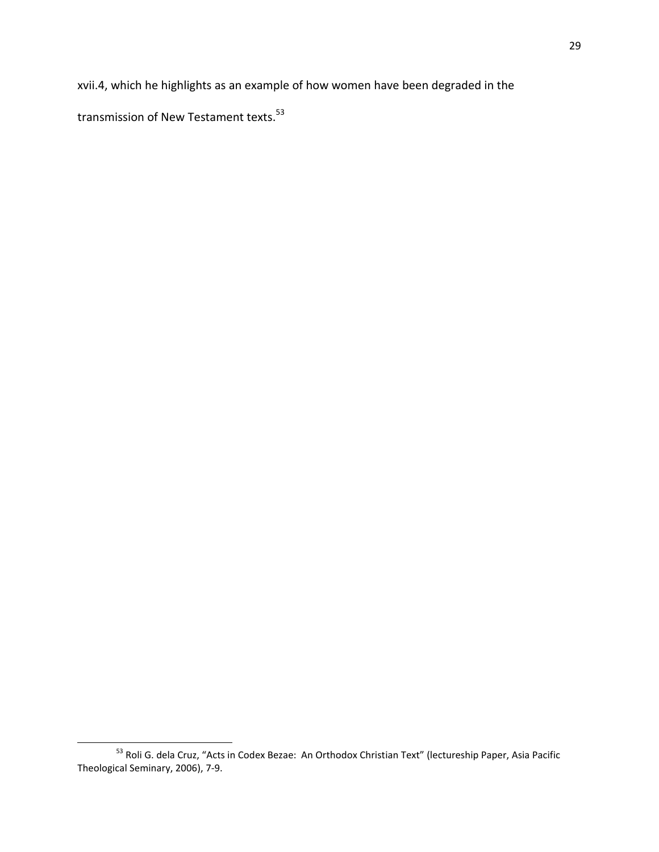xvii.4, which he highlights as an example of how women have been degraded in the

transmission of New Testament texts.<sup>53</sup>

l <sup>53</sup> Roli G. dela Cruz, "Acts in Codex Bezae: An Orthodox Christian Text" (lectureship Paper, Asia Pacific Theological Seminary, 2006), 7-9.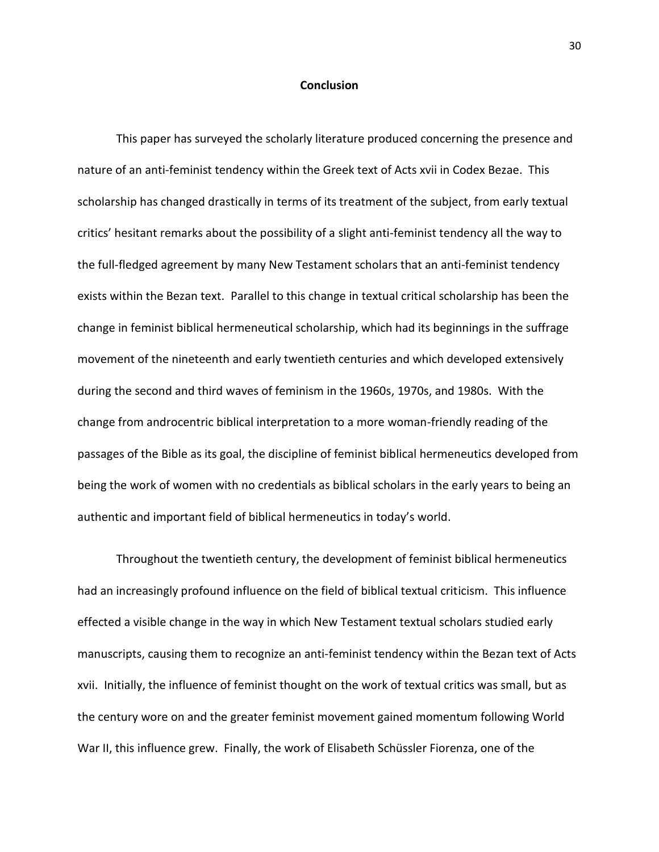#### **Conclusion**

This paper has surveyed the scholarly literature produced concerning the presence and nature of an anti-feminist tendency within the Greek text of Acts xvii in Codex Bezae. This scholarship has changed drastically in terms of its treatment of the subject, from early textual critics' hesitant remarks about the possibility of a slight anti-feminist tendency all the way to the full-fledged agreement by many New Testament scholars that an anti-feminist tendency exists within the Bezan text. Parallel to this change in textual critical scholarship has been the change in feminist biblical hermeneutical scholarship, which had its beginnings in the suffrage movement of the nineteenth and early twentieth centuries and which developed extensively during the second and third waves of feminism in the 1960s, 1970s, and 1980s. With the change from androcentric biblical interpretation to a more woman-friendly reading of the passages of the Bible as its goal, the discipline of feminist biblical hermeneutics developed from being the work of women with no credentials as biblical scholars in the early years to being an authentic and important field of biblical hermeneutics in today's world.

Throughout the twentieth century, the development of feminist biblical hermeneutics had an increasingly profound influence on the field of biblical textual criticism. This influence effected a visible change in the way in which New Testament textual scholars studied early manuscripts, causing them to recognize an anti-feminist tendency within the Bezan text of Acts xvii. Initially, the influence of feminist thought on the work of textual critics was small, but as the century wore on and the greater feminist movement gained momentum following World War II, this influence grew. Finally, the work of Elisabeth Schüssler Fiorenza, one of the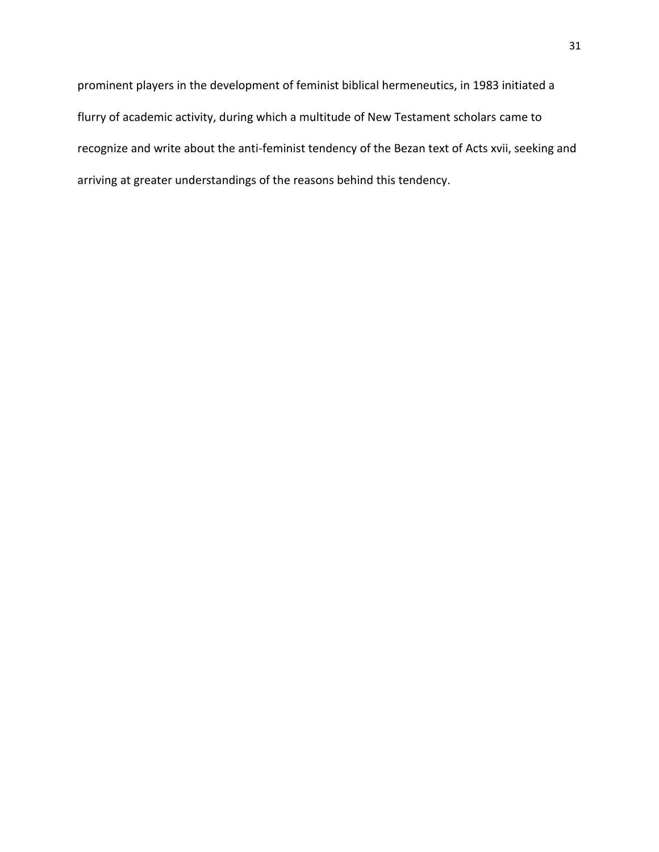prominent players in the development of feminist biblical hermeneutics, in 1983 initiated a flurry of academic activity, during which a multitude of New Testament scholars came to recognize and write about the anti-feminist tendency of the Bezan text of Acts xvii, seeking and arriving at greater understandings of the reasons behind this tendency.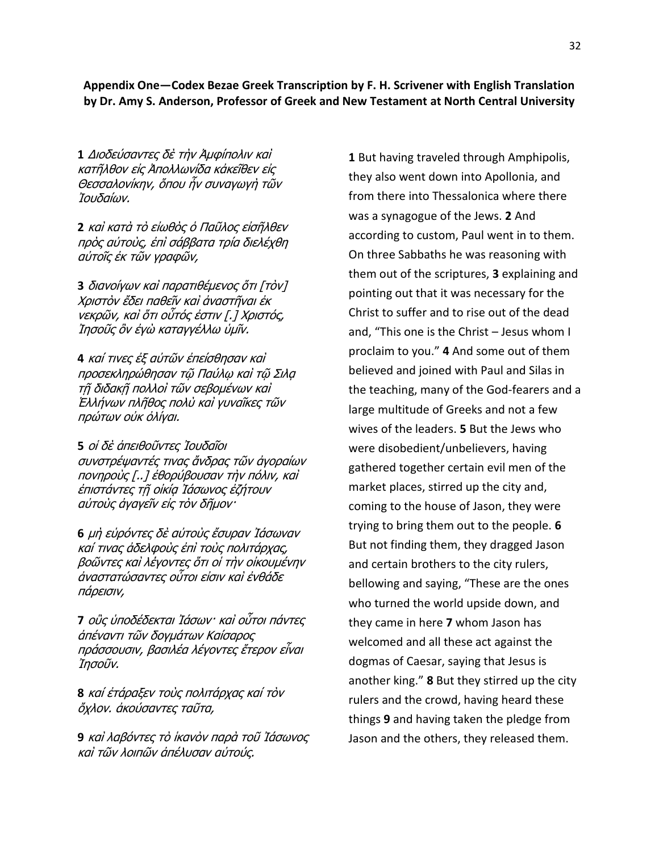### **Appendix One—Codex Bezae Greek Transcription by F. H. Scrivener with English Translation by Dr. Amy S. Anderson, Professor of Greek and New Testament at North Central University**

**1** Διοδεύσαντες δὲ τὴν Ἀμφίπολιν καὶ κατῆλθον εἰς Ἀπολλωνίδα κἀκεῖθεν εἰς Θεσσαλονίκην, ὅπου ἦν συναγωγὴ τῶν Ίουδαίων.

**2** καὶ κατὰ τὸ εἰωθὸς ὁ Παῦλος εἰσῆλθεν πρὸς αὐτοὺς, ἐπὶ σάββατα τρία διελέχθη αὐτοῖς ἐκ τῶν γραφῶν,

**3** διανοίγων καὶ παρατιθέμενος ὅτι [τὸν] Χριστὸν ἔδει παθεῖν καὶ ἀναστῆναι ἐκ νεκρῶν, καὶ ὅτι οὗτός ἐστιν [.] Χριστός, Ίησοῦς ὃν ἐγὼ καταγγέλλω ὑμῖν.

**4** καί τινες ἐξ αὐτῶν ἐπείσθησαν καὶ προσεκληρώθησαν τῶ Παύλω καὶ τῶ Σιλα τῆ διδακῆ πολλοὶ τῶν σεβομένων καὶ Έλλήνων πλῆθος πολὺ καὶ γυναῖκες τῶν πρώτων οὐκ ὀλίγαι.

**5** οἱ δὲ ἀπειθοῦντες Ἰουδαῖοι συνστρέψαντές τινας ἄνδρας τῶν ἀγοραίων πονηρούς [..] έθορύβουσαν τὴν πόλιν, καὶ ἐπιστάντες τῆ οἰκία Ἰάσωνος ἐζήτουν αὐτοὺς ἀγαγεῖν εἰς τὸν δῆμον·

**6** μὴ εὑρόντες δὲ αὐτοὺς ἔσυραν Ἰάσωναν καί τινας ἀδελφοὺς ἐπὶ τοὺς πολιτάρχας, βοῶντες καὶ λέγοντες ὅτι οἱ τὴν οἰκουμένην άναστατώσαντες οὗτοι είσιν καὶ ἐνθάδε πάρεισιν,

**7** οὓς ὑποδέδεκται Ἰάσων· καὶ οὗτοι πάντες άπέναντι τῶν δονμάτων Καίσαρος πράσσουσιν, βασιλέα λέγοντες ἕτερον εἶναι Ίησοῦν.

**8** καί ἐτάραξεν τοὺς πολιτάρχας καί τὸν ὄχλον. ἀκούσαντες ταῦτα,

**9** καὶ λαβόντες τὸ ἱκανὸν παρὰ τοῦ Ἰάσωνος καὶ τῶν λοιπῶν ἀπέλυσαν αὐτούς.

**1** But having traveled through Amphipolis, they also went down into Apollonia, and from there into Thessalonica where there was a synagogue of the Jews. **2** And according to custom, Paul went in to them. On three Sabbaths he was reasoning with them out of the scriptures, **3** explaining and pointing out that it was necessary for the Christ to suffer and to rise out of the dead and, "This one is the Christ – Jesus whom I proclaim to you." **4** And some out of them believed and joined with Paul and Silas in the teaching, many of the God-fearers and a large multitude of Greeks and not a few wives of the leaders. **5** But the Jews who were disobedient/unbelievers, having gathered together certain evil men of the market places, stirred up the city and, coming to the house of Jason, they were trying to bring them out to the people. **6** But not finding them, they dragged Jason and certain brothers to the city rulers, bellowing and saying, "These are the ones who turned the world upside down, and they came in here **7** whom Jason has welcomed and all these act against the dogmas of Caesar, saying that Jesus is another king." **8** But they stirred up the city rulers and the crowd, having heard these things **9** and having taken the pledge from Jason and the others, they released them.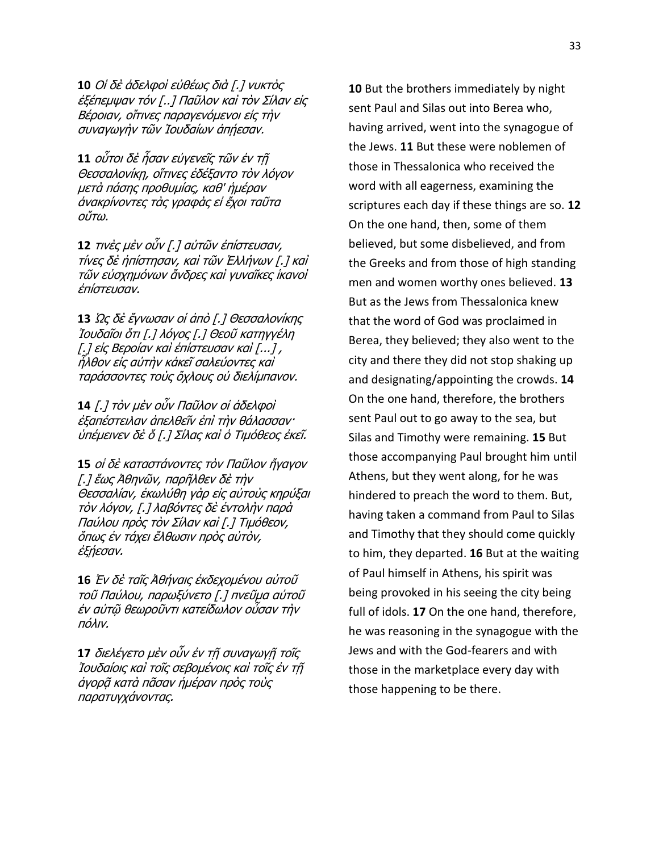**10** Οἱ δὲ ἀδελφοὶ εὐθέως διὰ [.] νυκτὸς έξέπεμψαν τόν [..] Παῦλον καὶ τὸν Σίλαν εἰς Βέροιαν, οἵτινες παραγενόμενοι εἰς τὴν συναγωγήν τῶν Ἰουδαίων ἀπήεσαν.

**11** ούτοι δὲ ἦσαν εὐγενεῖς τῶν ἐν τῆ Θεσσαλονίκη, οἵτινες ἐδέξαντο τὸν λόγον μετὰ πάσης προθυμίας, καθ' ἡμέραν άνακρίνοντες τὰς γραφὰς εἰ ἔχοι ταῦτα οὕτω.

**12** τινές μέν οὖν [.] αὐτῶν ἐπίστευσαν, τίνες δὲ ἠπίστησαν, καὶ τῶν Ἑλλήνων [.] καὶ τῶν εὐσχημόνων ἄνδρες καὶ γυναῖκες ἱκανοὶ έπίστευσαν.

**13** Ως δὲ ἔγνωσαν οἱ ἀπὸ [.] Θεσσαλονίκης Ίουδαῖοι ὅτι [.] λόγος [.] Θεοῦ κατηγγέλη [.] είς Βεροίαν καὶ ἐπίστευσαν καὶ [...] , ἦλθον εἰς αὐτὴν κἀκεῖ σαλεύοντες καὶ ταράσσοντες τοὺς ὄχλους οὐ διελίμπανον.

**14** [.] τὸν μὲν οὖν Παῦλον οἱ ἀδελφοὶ ἐξαπέστειλαν ἀπελθεῖν ἐπὶ τὴν θάλασσαν· ύπέμεινεν δὲ ὅ [.] Σίλας καὶ ὁ Τιμόθεος ἐκεῖ.

**15** οἱ δὲ καταστάνοντες τὸν Παῦλον ἤγαγον [.] ἕως Ἀθηνῶν, παρῆλθεν δὲ τὴν Θεσσαλίαν, ἐκωλύθη γὰρ εἰς αὐτοὺς κηρύξαι τὸν λόγον, [.] λαβόντες δὲ ἐντολὴν παρὰ Παύλου πρὸς τὸν Σίλαν καὶ [.] Τιμόθεον, ὄπως ἐν τάχει ἔλθωσιν πρὸς αὐτὸν, έξήεσαν.

**16** Ἐν δὲ ταῖς Ἀθήναις ἐκδεχομένου αὐτοῦ τοῦ Παύλου, παρωξύνετο [.] πνεῦμα αὐτοῦ ἐν αὐτῷ θεωροῦντι κατείδωλον οὖσαν τὴν πόλιν.

**17** διελέγετο μὲν οὖν ἐν τῆ συναγωγῆ τοῖς Ίουδαίοις καὶ τοῖς σεβομένοις καὶ τοῖς ἐν τῆ άγορᾶ κατὰ πᾶσαν ἡμέραν πρὸς τοὺς παρατυγχάνοντας.

**10** But the brothers immediately by night sent Paul and Silas out into Berea who, having arrived, went into the synagogue of the Jews. **11** But these were noblemen of those in Thessalonica who received the word with all eagerness, examining the scriptures each day if these things are so. **12** On the one hand, then, some of them believed, but some disbelieved, and from the Greeks and from those of high standing men and women worthy ones believed. **13** But as the Jews from Thessalonica knew that the word of God was proclaimed in Berea, they believed; they also went to the city and there they did not stop shaking up and designating/appointing the crowds. **14** On the one hand, therefore, the brothers sent Paul out to go away to the sea, but Silas and Timothy were remaining. **15** But those accompanying Paul brought him until Athens, but they went along, for he was hindered to preach the word to them. But, having taken a command from Paul to Silas and Timothy that they should come quickly to him, they departed. **16** But at the waiting of Paul himself in Athens, his spirit was being provoked in his seeing the city being full of idols. **17** On the one hand, therefore, he was reasoning in the synagogue with the Jews and with the God-fearers and with those in the marketplace every day with those happening to be there.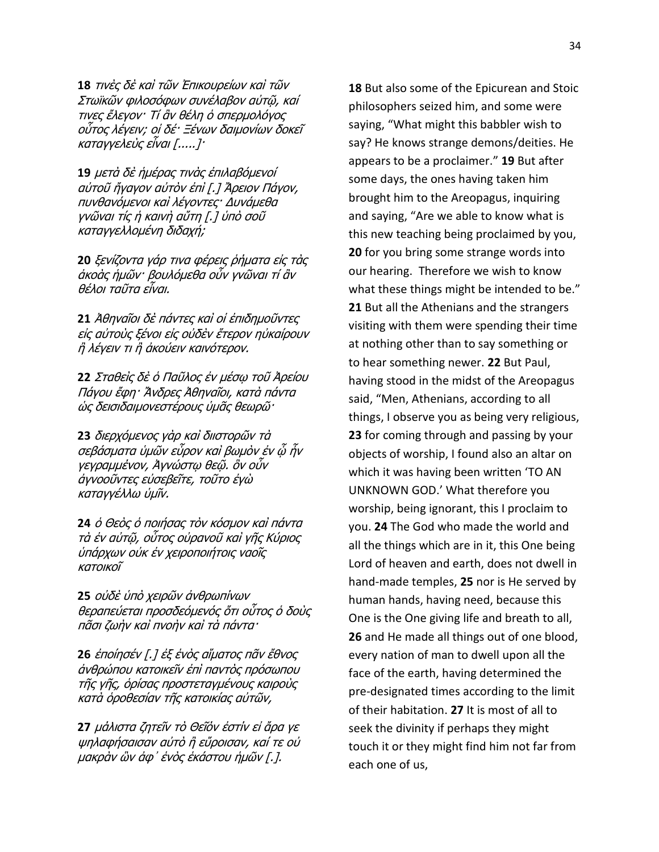**18** τινές δέ καὶ τῶν Ἐπικουρείων καὶ τῶν Στωϊκῶν φιλοσόφων συνέλαβον αὐτῶ, καί τινες ἔλεγον· Τί ἂν θέλη ὁ σπερμολόγος οὗτος λέγειν; οἱ δέ· Ξένων δαιμονίων δοκεῖ καταγγελεὺς εἶναι [.....]·

**19** μετὰ δὲ ἡμέρας τινὰς ἐπιλαβόμενοί αὐτοῦ ἤγαγον αὐτὸν ἐπὶ [.] Ἄρειον Πάγον, πυνθανόμενοι καὶ λέγοντες· Δυνάμεθα γνῶναι τίς ἡ καινὴ αὕτη [.] ὑπὸ σοῦ καταγγελλομένη διδαχή;

**20** ξενίζοντα γάρ τινα φέρεις ρήματα είς τὰς ἀκοὰς ἡμῶν· βουλόμεθα οὖν γνῶναι τί ἂν θέλοι ταῦτα εἶναι.

**21** Άθηναῖοι δὲ πάντες καὶ οἱ ἐπιδημοῦντες είς αὐτοὺς ξένοι εἰς οὐδὲν ἕτερον ηὐκαίρουν ἢ λέγειν τι ἢ ἀκούειν καινότερον.

**22** Σταθεὶς δὲ ὁ Παῦλος ἐν μέσῳ τοῦ Ἀρείου Πάγου ἔφη· Ἄνδρες Ἀθηναῖοι, κατὰ πάντα ώς δεισιδαιμονεστέρους ὑμᾶς θεωρῶ·

**23** διερχόμενος γὰρ καὶ διιστορῶν τὰ σεβάσυστα ὑυῶν εὗρον καὶ βωυὸν ἐν ὧ ἦν γεγραμμένον, Ἀγνώστω θεῶ. ὃν οὖν άγνοοῦντες εὐσεβεῖτε, τοῦτο ἐγὼ καταγγέλλω ὑμῖν.

**24** ὁ Θεὸς ὁ ποιήσας τὸν κόσμον καὶ πάντα τὰ ἐν αὐτῷ, οὗτος οὐρανοῦ καὶ γῆς Κύριος ὑπάρχων οὐκ ἐν χειροποιήτοις ναοῖς κατοικοῖ

**25** οὐδὲ ὑπὸ χειρῶν ἀνθρωπίνων θεραπεύεται προσδεόμενός ὅτι οὗτος ὁ δοὺς πᾶσι ζωὴν καὶ πνοὴν καὶ τὰ πάντα·

**26** ἐποίησέν [.] ἐξ ἑνὸς αἵματος πᾶν ἔθνος άνθρώπου κατοικεῖν ἐπὶ παντὸς πρόσωπου τῆς γῆς, ὁρίσας προστεταγμένους καιροὺς κατὰ ὁροθεσίαν τῆς κατοικίας αὐτῶν,

**27** μάλιστα ζητεῖν τὸ Θεῖόν ἐστίν εἰ ἄρα γε ψηλαφήσαισαν αὐτὸ ἢ εὕροισαν, καί τε οὐ μακρὰν ὣν ἀφ᾽ ἑνὸς ἑκάστου ἡμῶν [.].

**18** But also some of the Epicurean and Stoic philosophers seized him, and some were saying, "What might this babbler wish to say? He knows strange demons/deities. He appears to be a proclaimer." **19** But after some days, the ones having taken him brought him to the Areopagus, inquiring and saying, "Are we able to know what is this new teaching being proclaimed by you, **20** for you bring some strange words into our hearing. Therefore we wish to know what these things might be intended to be." **21** But all the Athenians and the strangers visiting with them were spending their time at nothing other than to say something or to hear something newer. **22** But Paul, having stood in the midst of the Areopagus said, "Men, Athenians, according to all things, I observe you as being very religious, **23** for coming through and passing by your objects of worship, I found also an altar on which it was having been written 'TO AN UNKNOWN GOD.' What therefore you worship, being ignorant, this I proclaim to you. **24** The God who made the world and all the things which are in it, this One being Lord of heaven and earth, does not dwell in hand-made temples, **25** nor is He served by human hands, having need, because this One is the One giving life and breath to all, **26** and He made all things out of one blood, every nation of man to dwell upon all the face of the earth, having determined the pre-designated times according to the limit of their habitation. **27** It is most of all to seek the divinity if perhaps they might touch it or they might find him not far from each one of us,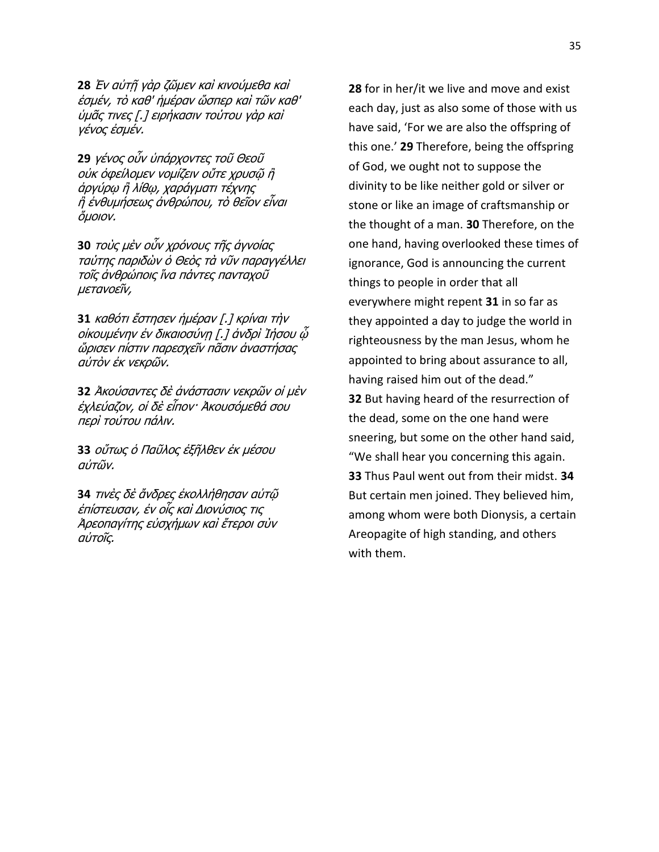**28** Ἐν αὐτῇ γὰρ ζῶμεν καὶ κινούμεθα καὶ έσμέν, τὸ καθ' ἡμέραν ὥσπερ καὶ τῶν καθ' ύμᾶς τινες [.] ειρήκασιν τούτου γὰρ καὶ γένος ἐσμέν.

**29** γένος οὖν ὑπάρχοντες τοῦ Θεοῦ ούκ όφείλομεν νομίζειν οὔτε χρυσῶ ἢ άργύρφ ἢ λίθφ, χαράγματι τέχνης ἢ ἐνθυμήσεως ἀνθρώπου, τὸ θεῖον εἶναι ὄμοιον.

**30** τοὺς μὲν οὖν χρόνους τῆς ἀγνοίας ταύτης παριδών ό Θεὸς τὰ νῦν παραγγέλλει τοῖς ἀνθρώποις ἵνα πάντες πανταχοῦ μετανοεῖν,

**31** καθότι ἔστησεν ἡμέραν [.] κρίναι τὴν οἰκουμένην ἐν δικαιοσύνη [.] ἀνδρὶ Ἰήσου ὦ ὥρισεν πίστιν παρεσχεῖν πᾶσιν ἀναστήσας αὐτὸν ἐκ νεκρῶν.

**32** Ἀκούσαντες δὲ ἀνάστασιν νεκρῶν οἱ μὲν ἐχλεύαζον, οἱ δὲ εἶπον· Ἀκουσόμεθά σου περὶ τούτου πάλιν.

**33** οὕτως ὁ Παῦλος ἐξῆλθεν ἐκ μέσου αὐτῶν.

**34** τινὲς δὲ ἄνδρες ἐκολλήθησαν αὐτῷ ἐπίστευσαν, ἐν οἶς καὶ Διονύσιος τις Ἀρεοπαγίτης εὐσχήμων καὶ ἕτεροι σὺν αὐτοῖς.

**28** for in her/it we live and move and exist each day, just as also some of those with us have said, 'For we are also the offspring of this one.' **29** Therefore, being the offspring of God, we ought not to suppose the divinity to be like neither gold or silver or stone or like an image of craftsmanship or the thought of a man. **30** Therefore, on the one hand, having overlooked these times of ignorance, God is announcing the current things to people in order that all everywhere might repent **31** in so far as they appointed a day to judge the world in righteousness by the man Jesus, whom he appointed to bring about assurance to all, having raised him out of the dead." **32** But having heard of the resurrection of the dead, some on the one hand were sneering, but some on the other hand said, "We shall hear you concerning this again. **33** Thus Paul went out from their midst. **34** But certain men joined. They believed him, among whom were both Dionysis, a certain Areopagite of high standing, and others with them.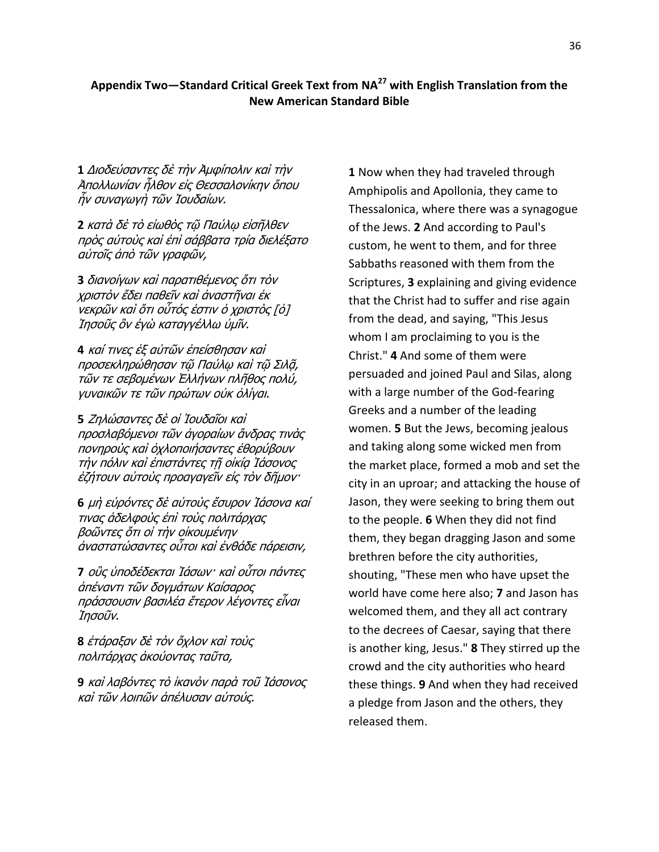### **Appendix Two—Standard Critical Greek Text from NA<sup>27</sup> with English Translation from the New American Standard Bible**

**1** Διοδεύσαντες δὲ τὴν Ἀμφίπολιν καὶ τὴν Ἀπολλωνίαν ἦλθον εἰς Θεσσαλονίκην ὅπου ἦν συναγωγὴ τῶν Ἰουδαίων.

**2** κατὰ δὲ τὸ εἰωθὸς τῷ Παύλῳ εἰσῆλθεν πρὸς αὐτοὺς καὶ ἐπὶ σάββατα τρία διελέξατο αὐτοῖς ἀπὸ τῶν γραφῶν,

**3** διανοίγων καὶ παρατιθέμενος ὅτι τὸν χριστὸν ἔδει παθεῖν καὶ ἀναστῆναι ἐκ νεκρῶν καὶ ὅτι οὗτός ἐστιν ὁ χριστὸς [ὁ] Ίησοῦς ὃν ἐγὼ καταγγέλλω ὑμῖν.

**4** καί τινες έξ αὐτῶν ἐπείσθησαν καὶ προσεκληρώθησαν τῷ Παύλω καὶ τῷ Σιλᾶ, τῶν τε σεβομένων Έλλήνων πλῆθος πολύ, γυναικῶν τε τῶν πρώτων οὐκ ὀλίγαι.

**5** Ζηλώσαντες δὲ οἱ Ἰουδαῖοι καὶ προσλαβόμενοι τῶν ἀγοραίων ἄνδρας τινὰς πονηρούς καὶ ὀχλοποιήσαντες ἐθορύβουν τὴν πόλιν καὶ ἐπιστάντες τῆ οἰκία Ἰάσονος έζήτουν αὐτοὺς προαγαγεῖν εἰς τὸν δῆμον·

6 μὴ εὑρόντες δὲ αὐτοὺς ἔσυρον Ἰάσονα καί τινας άδελφοὺς ἐπὶ τοὺς πολιτάρχας βοῶντες ὅτι οἱ τὴν οἰκουμένην άναστατώσαντες οὗτοι καὶ ἐνθάδε πάρεισιν,

**7** οὓς ὑποδέδεκται Ἰάσων· καὶ οὗτοι πάντες άπέναντι τῶν δονμάτων Καίσαρος πράσσουσιν βασιλέα ἕτερον λέγοντες εἶναι Ίησοῦν.

**8** ἐτάραξαν δὲ τὸν ὄχλον καὶ τοὺς πολιτάρχας ἀκούοντας ταῦτα,

**9** καὶ λαβόντες τὸ ἱκανὸν παρὰ τοῦ Ἰάσονος καὶ τῶν λοιπῶν ἀπέλυσαν αὐτούς.

**1** Now when they had traveled through Amphipolis and Apollonia, they came to Thessalonica, where there was a synagogue of the Jews. **2** And according to Paul's custom, he went to them, and for three Sabbaths reasoned with them from the Scriptures, **3** explaining and giving evidence that the Christ had to suffer and rise again from the dead, and saying, "This Jesus whom I am proclaiming to you is the Christ." **4** And some of them were persuaded and joined Paul and Silas, along with a large number of the God-fearing Greeks and a number of the leading women. **5** But the Jews, becoming jealous and taking along some wicked men from the market place, formed a mob and set the city in an uproar; and attacking the house of Jason, they were seeking to bring them out to the people. **6** When they did not find them, they began dragging Jason and some brethren before the city authorities, shouting, "These men who have upset the world have come here also; **7** and Jason has welcomed them, and they all act contrary to the decrees of Caesar, saying that there is another king, Jesus." **8** They stirred up the crowd and the city authorities who heard these things. **9** And when they had received a pledge from Jason and the others, they released them.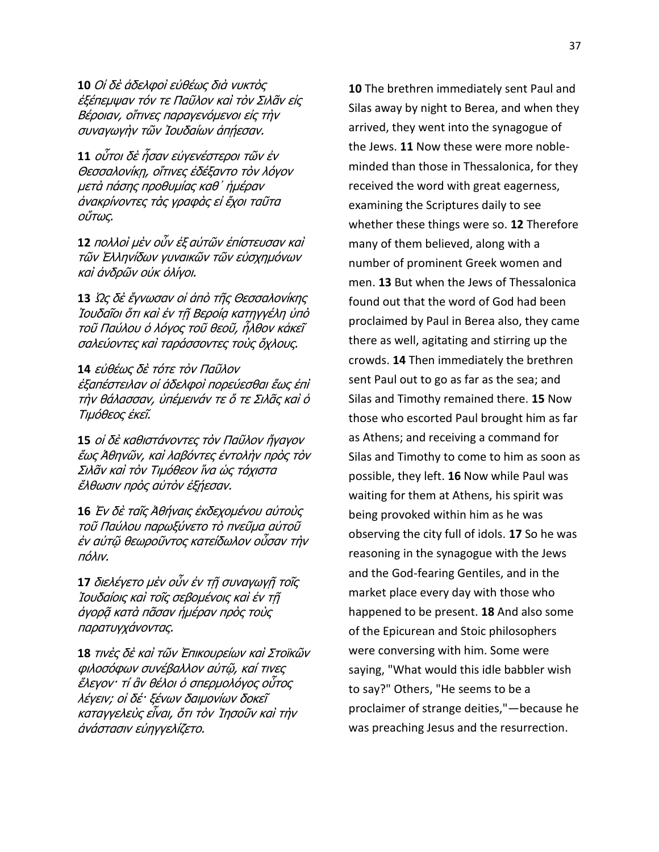**10** Οἱ δὲ ἀδελφοὶ εὐθέως διὰ νυκτὸς ἐξέπεμψαν τόν τε Παῦλον καὶ τὸν Σιλᾶν εἰς Βέροιαν, οἵτινες παραγενόμενοι εἰς τὴν συναγωγὴν τῶν Ἰουδαίων ἀπήεσαν.

**11** οὗτοι δὲ ἦσαν εὐγενέστεροι τῶν ἐν Θεσσαλονίκη, οἵτινες ἐδέξαντο τὸν λόγον μετὰ πάσης προθυμίας καθ᾽ ἡμέραν άνακρίνοντες τὰς γραφὰς εἰ ἔχοι ταῦτα οὕτως.

**12** πολλοὶ μὲν οὖν ἐξ αὐτῶν ἐπίστευσαν καὶ τῶν Ἑλληνίδων γυναικῶν τῶν εὐσχημόνων καὶ ἀνδρῶν οὐκ ὀλίγοι.

**13** Ως δὲ ἔγνωσαν οἱ ἀπὸ τῆς Θεσσαλονίκης Ἰουδαῖοι ὅτι καὶ ἐν τῆ Βεροία κατηγγέλη ὑπὸ τοῦ Παύλου ὁ λόγος τοῦ θεοῦ, ἦλθον κἀκεῖ σαλεύοντες καὶ ταράσσοντες τοὺς ὄχλους.

**14** εὐθέως δὲ τότε τὸν Παῦλον έξαπέστειλαν οἱ ἀδελφοὶ πορεύεσθαι ἕως ἐπὶ τὴν θάλασσαν, ὑπέμεινάν τε ὅ τε Σιλᾶς καὶ ὁ Τιμόθεος ἐκεῖ.

**15** οἱ δὲ καθιστάνοντες τὸν Παῦλον ἤγαγον ἕως Ἀθηνῶν, καὶ λαβόντες ἐντολὴν πρὸς τὸν Σιλᾶν καὶ τὸν Τιμόθεον ἵνα ὡς τάχιστα ἔλθωσιν πρὸς αὐτὸν ἐξήεσαν.

**16** Έν δὲ ταῖς Ἀθήναις ἐκδεχομένου αὐτοὺς τοῦ Παύλου παρωξύνετο τὸ πνεῦμα αὐτοῦ ἐν αὐτῶ θεωροῦντος κατείδωλον οὖσαν τὴν πόλιν.

**17** διελέγετο μὲν οὖν ἐν τῆ συναγωγῆ τοῖς Ίουδαίοις καὶ τοῖς σεβομένοις καὶ ἐν τῇ άγορᾶ κατὰ πᾶσαν ἡμέραν πρὸς τοὺς παρατυγχάνοντας.

**18** τινὲς δὲ καὶ τῶν Ἐπικουρείων καὶ Στοϊκῶν φιλοσόφων συνέβαλλον αὐτῷ, καί τινες ἔλεγον· τί ἂν θέλοι ὁ σπερμολόγος οὗτος λέγειν; οἱ δέ· ξένων δαιμονίων δοκεῖ καταγγελεὺς εἶναι, ὅτι τὸν Ἰησοῦν καὶ τὴν άνάστασιν εύηγγελίζετο.

**10** The brethren immediately sent Paul and Silas away by night to Berea, and when they arrived, they went into the synagogue of the Jews. **11** Now these were more nobleminded than those in Thessalonica, for they received the word with great eagerness, examining the Scriptures daily to see whether these things were so. **12** Therefore many of them believed, along with a number of prominent Greek women and men. **13** But when the Jews of Thessalonica found out that the word of God had been proclaimed by Paul in Berea also, they came there as well, agitating and stirring up the crowds. **14** Then immediately the brethren sent Paul out to go as far as the sea; and Silas and Timothy remained there. **15** Now those who escorted Paul brought him as far as Athens; and receiving a command for Silas and Timothy to come to him as soon as possible, they left. **16** Now while Paul was waiting for them at Athens, his spirit was being provoked within him as he was observing the city full of idols. **17** So he was reasoning in the synagogue with the Jews and the God-fearing Gentiles, and in the market place every day with those who happened to be present. **18** And also some of the Epicurean and Stoic philosophers were conversing with him. Some were saying, "What would this idle babbler wish to say?" Others, "He seems to be a proclaimer of strange deities,"—because he was preaching Jesus and the resurrection.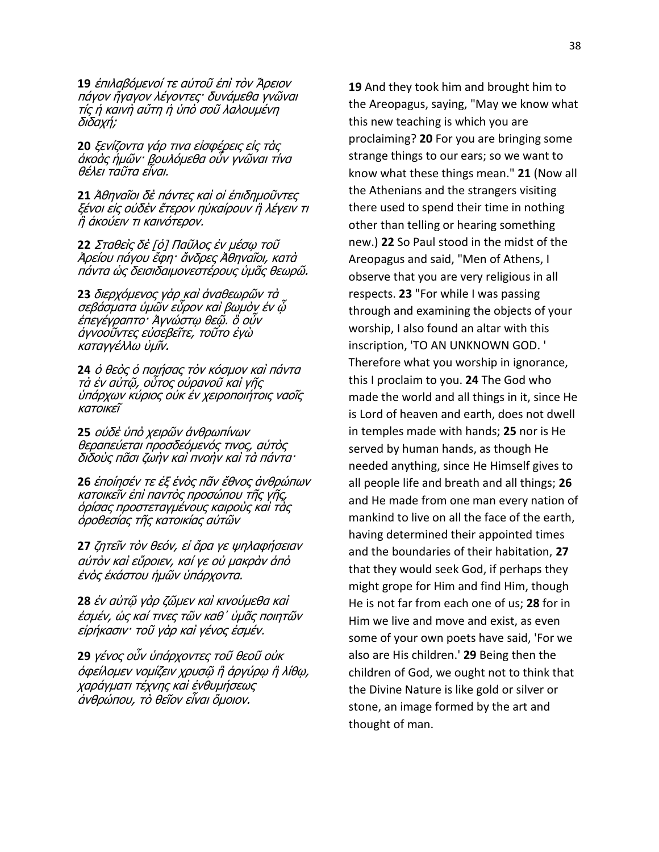**19** ἐπιλαβόμενοί τε αὐτοῦ ἐπὶ τὸν Ἄρειον πάγον ἤγαγον λέγοντες· δυνάμεθα γνῶναι τίς ἡ καινὴ αὕτη ἡ ὑπὸ σοῦ λαλουμένη δηδαρή;

**20** ξενίζοντα γάρ τινα είσφέρεις είς τὰς άκοὰς ἡμῶν· βουλόμεθα οὖν γνῶναι τίνα θέλει ταῦτα εἶναι.

**21** Ἀθηναῖοι δὲ πάντες καὶ οἱ ἐπιδημοῦντες ξένοι εἰς οὐδὲν ἕτερον ηὐκαίρουν ἢ λέγειν τι ἢ ἀκούειν τι καινότερον.

**22** Σταθεὶς δὲ [ὁ] Παῦλος ἐν μέσω τοῦ Ἀρείου πάγου ἔφη· ἄνδρες Ἀθηναῖοι, κατὰ πάντα ώς δεισιδαιμονεστέρους ὑμᾶς θεωρῶ.

23 διερχόμενος γὰρ καὶ ἀναθεωρῶν τὰ σεβάσματα ὑμῶν εὗρον καὶ βωμὸν ἐν ῷ ἐπεγέγραπτο· Ἀγνώστω θεῷ. ὃ οὖν άγνοοῦντες εὐσεβεῖτε, τοῦτο ἐγὼ καταγγέλλω ὑμῖν.

**24** ὁ θεὸς ὁ ποιήσας τὸν κόσμον καὶ πάντα τὰ ἐν αὐτῷ, οὑτος οὐρανοῦ καὶ γῆς ὑπάρχων κύριος οὐκ ἐν χειροποιήτοις ναοῖς κατοικεῖ

**25** οὐδὲ ὑπὸ χειρῶν ἀνθρωπίνων θεραπεύεται προσδεόμενός τινος, αὐτὸς διδούς πᾶσι ζωὴν καὶ πνοὴν καὶ τὰ πάντα·

**26** ἐποίησέν τε ἐξ ἑνὸς πᾶν ἔθνος ἀνθρώπων κατοικεῖν ἐπὶ παντὸς προσώπου τῆς γῆς, ὸρίσας προστεταγμένους καιροὺς καὶ τὰς όροθεσίας τῆς κατοικίας αὐτῶν

**27** ζητεῖν τὸν θεόν, εἰ ἄρα γε ψηλαφήσειαν αὐτὸν καὶ εὕροιεν, καί γε οὐ μακρὰν ἀπὸ ένὸς ἑκάστου ἡμῶν ὑπάρχοντα.

**28** ἐν αὐτῷ γὰρ ζῶμεν καὶ κινούμεθα καὶ ἐσμέν, ὡς καί τινες τῶν καθ᾽ ὑμᾶς ποιητῶν εἰρήκασιν· τοῦ γὰρ καὶ γένος ἐσμέν.

**29** γένος οὖν ὑπάρχοντες τοῦ θεοῦ οὐκ όφείλομεν νομίζειν χρυσῷ ἢ ἀργύρῳ ἢ λίθῳ, χαράγματι τέχνης καὶ ἐνθυμήσεως άνθρώπου, τὸ θεῖον εἶναι ὅμοιον.

**19** And they took him and brought him to the Areopagus, saying, "May we know what this new teaching is which you are proclaiming? **20** For you are bringing some strange things to our ears; so we want to know what these things mean." **21** (Now all the Athenians and the strangers visiting there used to spend their time in nothing other than telling or hearing something new.) **22** So Paul stood in the midst of the Areopagus and said, "Men of Athens, I observe that you are very religious in all respects. **23** "For while I was passing through and examining the objects of your worship, I also found an altar with this inscription, 'TO AN UNKNOWN GOD. ' Therefore what you worship in ignorance, this I proclaim to you. **24** The God who made the world and all things in it, since He is Lord of heaven and earth, does not dwell in temples made with hands; **25** nor is He served by human hands, as though He needed anything, since He Himself gives to all people life and breath and all things; **26**  and He made from one man every nation of mankind to live on all the face of the earth, having determined their appointed times and the boundaries of their habitation, **27**  that they would seek God, if perhaps they might grope for Him and find Him, though He is not far from each one of us; **28** for in Him we live and move and exist, as even some of your own poets have said, 'For we also are His children.' **29** Being then the children of God, we ought not to think that the Divine Nature is like gold or silver or stone, an image formed by the art and thought of man.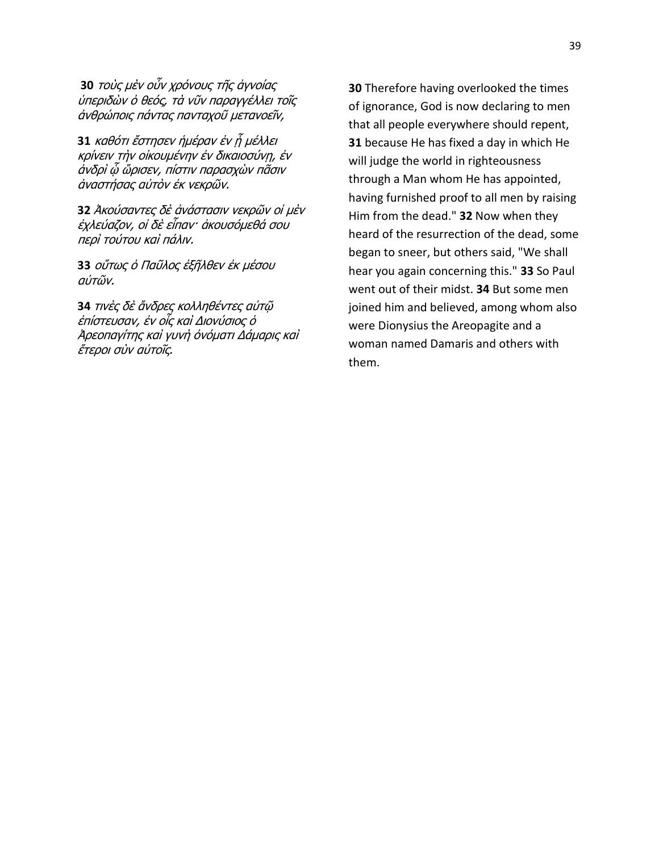**30** τοὺς μὲν οὖν χρόνους τῆς ἀγνοίας ύπεριδών ό θεός, τὰ νῦν παραγγέλλει τοῖς άνθρώποις πάντας πανταχοῦ μετανοεῖν,

**31** καθότι ἔστησεν ἡμέραν ἐν ἦ μέλλει κρίνειν τὴν οἰκουμένην ἐν δικαιοσύνη, ἐν άνδρὶ ῷ ὥρισεν, πίστιν παρασχὼν πᾶσιν άναστήσας αὐτὸν ἐκ νεκρῶν.

**32** Ἀκούσαντες δὲ ἀνάστασιν νεκρῶν οἱ μὲν ἐχλεύαζον, οἱ δὲ εἶπαν· ἀκουσόμεθά σου περὶ τούτου καὶ πάλιν.

**33** οὕτως ὁ Παῦλος ἐξῆλθεν ἐκ μέσου αὐτῶν.

**34** τινές δε ἄνδρες κολληθέντες αὐτῷ ἐπίστευσαν, ἐν οἶς καὶ Διονύσιος ὁ Ἀρεοπαγίτης καὶ γυνὴ ὀνόματι Δάμαρις καὶ ἕτεροι σὺν αὐτοῖς.

**30** Therefore having overlooked the times of ignorance, God is now declaring to men that all people everywhere should repent, **31** because He has fixed a day in which He will judge the world in righteousness through a Man whom He has appointed, having furnished proof to all men by raising Him from the dead." **32** Now when they heard of the resurrection of the dead, some began to sneer, but others said, "We shall hear you again concerning this." **33** So Paul went out of their midst. **34** But some men joined him and believed, among whom also were Dionysius the Areopagite and a woman named Damaris and others with them.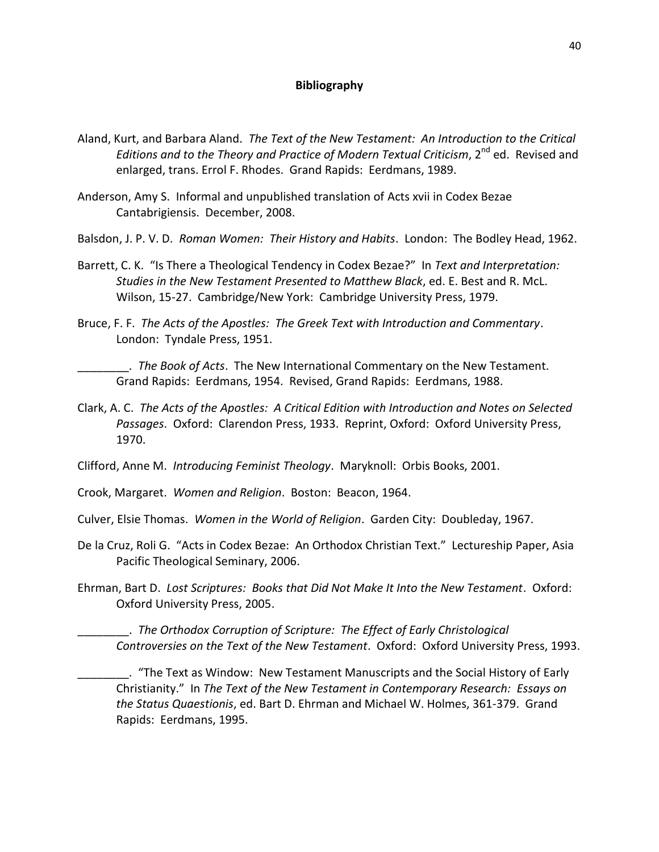#### **Bibliography**

- Aland, Kurt, and Barbara Aland. *The Text of the New Testament: An Introduction to the Critical*  Editions and to the Theory and Practice of Modern Textual Criticism, 2<sup>nd</sup> ed. Revised and enlarged, trans. Errol F. Rhodes. Grand Rapids: Eerdmans, 1989.
- Anderson, Amy S. Informal and unpublished translation of Acts xvii in Codex Bezae Cantabrigiensis. December, 2008.
- Balsdon, J. P. V. D. *Roman Women: Their History and Habits*. London: The Bodley Head, 1962.
- Barrett, C. K. "Is There a Theological Tendency in Codex Bezae?" In *Text and Interpretation: Studies in the New Testament Presented to Matthew Black*, ed. E. Best and R. McL. Wilson, 15-27. Cambridge/New York: Cambridge University Press, 1979.
- Bruce, F. F. *The Acts of the Apostles: The Greek Text with Introduction and Commentary*. London: Tyndale Press, 1951.

\_\_\_\_\_\_\_\_. *The Book of Acts*. The New International Commentary on the New Testament. Grand Rapids: Eerdmans, 1954. Revised, Grand Rapids: Eerdmans, 1988.

Clark, A. C. *The Acts of the Apostles: A Critical Edition with Introduction and Notes on Selected Passages*. Oxford: Clarendon Press, 1933. Reprint, Oxford: Oxford University Press, 1970.

Clifford, Anne M. *Introducing Feminist Theology*. Maryknoll: Orbis Books, 2001.

Crook, Margaret. *Women and Religion*. Boston: Beacon, 1964.

Culver, Elsie Thomas. *Women in the World of Religion*. Garden City: Doubleday, 1967.

- De la Cruz, Roli G. "Acts in Codex Bezae: An Orthodox Christian Text." Lectureship Paper, Asia Pacific Theological Seminary, 2006.
- Ehrman, Bart D. *Lost Scriptures: Books that Did Not Make It Into the New Testament*. Oxford: Oxford University Press, 2005.

\_\_\_\_\_\_\_\_. *The Orthodox Corruption of Scripture: The Effect of Early Christological Controversies on the Text of the New Testament*. Oxford: Oxford University Press, 1993.

\_\_\_\_\_\_\_\_. "The Text as Window: New Testament Manuscripts and the Social History of Early Christianity." In *The Text of the New Testament in Contemporary Research: Essays on the Status Quaestionis*, ed. Bart D. Ehrman and Michael W. Holmes, 361-379. Grand Rapids: Eerdmans, 1995.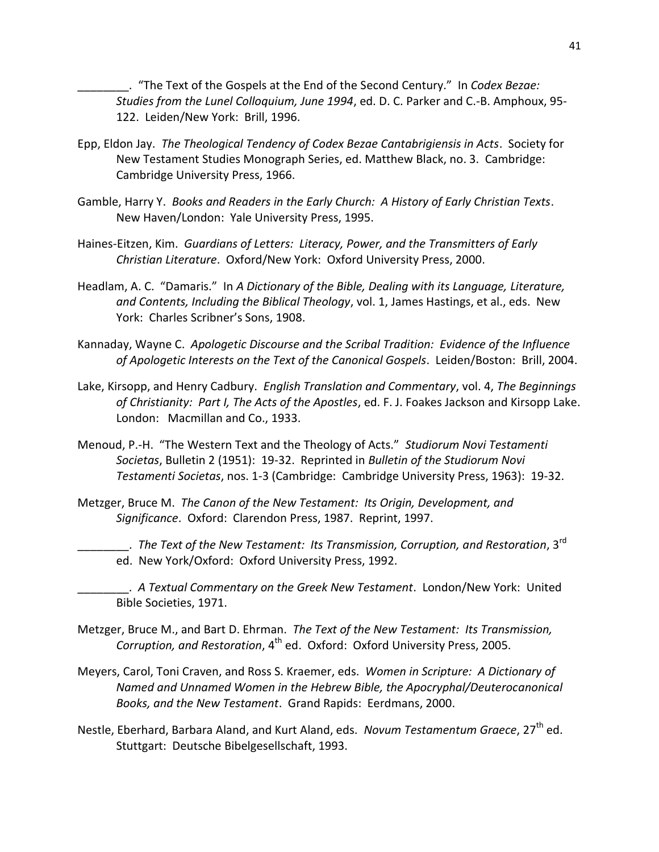\_\_\_\_\_\_\_\_. "The Text of the Gospels at the End of the Second Century." In *Codex Bezae: Studies from the Lunel Colloquium, June 1994*, ed. D. C. Parker and C.-B. Amphoux, 95- 122. Leiden/New York: Brill, 1996.

- Epp, Eldon Jay. *The Theological Tendency of Codex Bezae Cantabrigiensis in Acts*. Society for New Testament Studies Monograph Series, ed. Matthew Black, no. 3. Cambridge: Cambridge University Press, 1966.
- Gamble, Harry Y. *Books and Readers in the Early Church: A History of Early Christian Texts*. New Haven/London: Yale University Press, 1995.
- Haines-Eitzen, Kim. *Guardians of Letters: Literacy, Power, and the Transmitters of Early Christian Literature*. Oxford/New York: Oxford University Press, 2000.
- Headlam, A. C. "Damaris." In *A Dictionary of the Bible, Dealing with its Language, Literature, and Contents, Including the Biblical Theology*, vol. 1, James Hastings, et al., eds. New York: Charles Scribner's Sons, 1908.
- Kannaday, Wayne C. *Apologetic Discourse and the Scribal Tradition: Evidence of the Influence of Apologetic Interests on the Text of the Canonical Gospels*. Leiden/Boston: Brill, 2004.
- Lake, Kirsopp, and Henry Cadbury. *English Translation and Commentary*, vol. 4, *The Beginnings of Christianity: Part I, The Acts of the Apostles*, ed. F. J. Foakes Jackson and Kirsopp Lake. London: Macmillan and Co., 1933.
- Menoud, P.-H. "The Western Text and the Theology of Acts." *Studiorum Novi Testamenti Societas*, Bulletin 2 (1951): 19-32. Reprinted in *Bulletin of the Studiorum Novi Testamenti Societas*, nos. 1-3 (Cambridge: Cambridge University Press, 1963): 19-32.
- Metzger, Bruce M. *The Canon of the New Testament: Its Origin, Development, and Significance*. Oxford: Clarendon Press, 1987. Reprint, 1997.
	- \_\_\_\_\_\_\_\_. *The Text of the New Testament: Its Transmission, Corruption, and Restoration*, 3rd ed. New York/Oxford: Oxford University Press, 1992.
	- \_\_\_\_\_\_\_\_. *A Textual Commentary on the Greek New Testament*. London/New York: United Bible Societies, 1971.
- Metzger, Bruce M., and Bart D. Ehrman. *The Text of the New Testament: Its Transmission, Corruption, and Restoration*, 4th ed. Oxford: Oxford University Press, 2005.
- Meyers, Carol, Toni Craven, and Ross S. Kraemer, eds. *Women in Scripture: A Dictionary of Named and Unnamed Women in the Hebrew Bible, the Apocryphal/Deuterocanonical Books, and the New Testament*. Grand Rapids: Eerdmans, 2000.
- Nestle, Eberhard, Barbara Aland, and Kurt Aland, eds. *Novum Testamentum Graece*, 27<sup>th</sup> ed. Stuttgart: Deutsche Bibelgesellschaft, 1993.